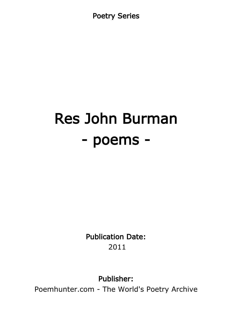Poetry Series

# Res John Burman - poems -

Publication Date: 2011

Publisher:

Poemhunter.com - The World's Poetry Archive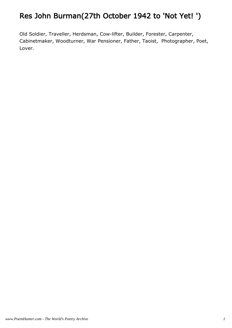# Res John Burman(27th October 1942 to 'Not Yet! ')

Old Soldier, Traveller, Herdsman, Cow-lifter, Builder, Forester, Carpenter, Cabinetmaker, Woodturner, War Pensioner, Father, Taoist, Photographer, Poet, Lover.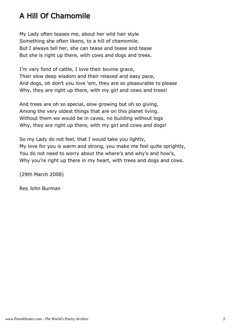# A Hill Of Chamomile

My Lady often teases me, about her wild hair style Something she often likens, to a hill of chamomile. But I always tell her, she can tease and tease and tease But she is right up there, with cows and dogs and trees.

I'm very fond of cattle, I love their bovine grace, Their slow deep wisdom and their relaxed and easy pace, And dogs, oh don't you love 'em, they are so pleasurable to please Why, they are right up there, with my girl and cows and trees!

And trees are oh so special, slow growing but oh so giving, Among the very oldest things that are on this planet living. Without them we would be in caves, no building without logs Why, they are right up there, with my girl and cows and dogs!

So my Lady do not feel, that I would take you lightly, My love for you is warm and strong, you make me feel quite sprightly, You do not need to worry about the where's and why's and how's, Why you're right up there in my heart, with trees and dogs and cows.

(29th March 2008)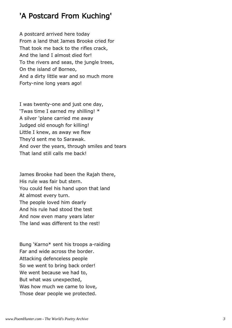# 'A Postcard From Kuching'

A postcard arrived here today From a land that James Brooke cried for That took me back to the rifles crack, And the land I almost died for! To the rivers and seas, the jungle trees, On the island of Borneo, And a dirty little war and so much more Forty-nine long years ago!

I was twenty-one and just one day, 'Twas time I earned my shilling! \* A silver 'plane carried me away Judged old enough for killing! Little I knew, as away we flew They'd sent me to Sarawak. And over the years, through smiles and tears That land still calls me back!

James Brooke had been the Rajah there, His rule was fair but stern. You could feel his hand upon that land At almost every turn. The people loved him dearly And his rule had stood the test And now even many years later The land was different to the rest!

Bung 'Karno\* sent his troops a-raiding Far and wide across the border. Attacking defenceless people So we went to bring back order! We went because we had to, But what was unexpected, Was how much we came to love, Those dear people we protected.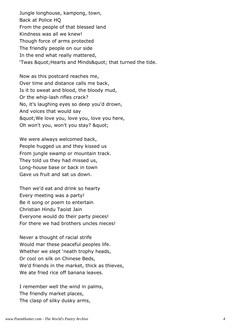Jungle longhouse, kampong, town, Back at Police HQ From the people of that blessed land Kindness was all we knew! Though force of arms protected The friendly people on our side In the end what really mattered, 'Twas " Hearts and Minds" that turned the tide.

Now as this postcard reaches me, Over time and distance calls me back, Is it to sweat and blood, the bloody mud, Or the whip-lash rifles crack? No, it's laughing eyes so deep you'd drown, And voices that would say & guot; We love you, love you, love you here, Oh won't you, won't you stay? & quot;

We were always welcomed back, People hugged us and they kissed us From jungle swamp or mountain track. They told us they had missed us, Long-house base or back in town Gave us fruit and sat us down.

Then we'd eat and drink so hearty Every meeting was a party! Be it song or poem to entertain Christian Hindu Taoist Jain Everyone would do their party pieces! For there we had brothers uncles nieces!

Never a thought of racial strife Would mar these peaceful peoples life. Whether we slept 'neath trophy heads, Or cool on silk on Chinese Beds, We'd friends in the market, thick as thieves, We ate fried rice off banana leaves.

I remember well the wind in palms, The friendly market places, The clasp of silky dusky arms,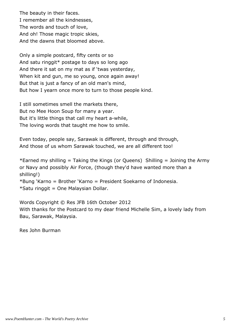The beauty in their faces. I remember all the kindnesses, The words and touch of love, And oh! Those magic tropic skies, And the dawns that bloomed above.

Only a simple postcard, fifty cents or so And satu ringgit\* postage to days so long ago And there it sat on my mat as if 'twas yesterday, When kit and gun, me so young, once again away! But that is just a fancy of an old man's mind, But how I yearn once more to turn to those people kind.

I still sometimes smell the markets there, But no Mee Hoon Soup for many a year. But it's little things that call my heart a-while, The loving words that taught me how to smile.

Even today, people say, Sarawak is different, through and through, And those of us whom Sarawak touched, we are all different too!

```
*Earned my shilling = Taking the Kings (or Queens) Shilling = Joining the Army
or Navy and possibly Air Force, (though they'd have wanted more than a
shilling!)
*Bung 'Karno = Brother 'Karno = President Soekarno of Indonesia.
*Satu ringgit = One Malaysian Dollar.
```
Words Copyright © Res JFB 16th October 2012 With thanks for the Postcard to my dear friend Michelle Sim, a lovely lady from Bau, Sarawak, Malaysia.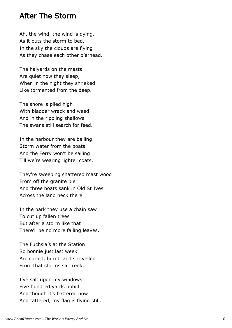#### After The Storm

Ah, the wind, the wind is dying, As it puts the storm to bed, In the sky the clouds are flying As they chase each other o'erhead.

The halyards on the masts Are quiet now they sleep, When in the night they shrieked Like tormented from the deep.

The shore is piled high With bladder wrack and weed And in the rippling shallows The swans still search for feed.

In the harbour they are bailing Storm water from the boats And the Ferry won't be sailing Till we're wearing lighter coats.

They're sweeping shattered mast wood From off the granite pier And three boats sank in Old St Ives Across the land neck there.

In the park they use a chain saw To cut up fallen trees But after a storm like that There'll be no more falling leaves.

The Fuchsia's at the Station So bonnie just last week Are curled, burnt and shrivelled From that storms salt reek.

I've salt upon my windows Five hundred yards uphill And though it's battered now And tattered, my flag is flying still.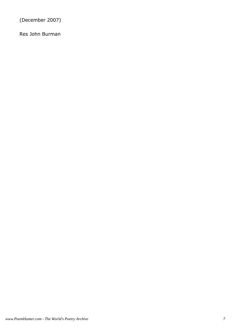(December 2007)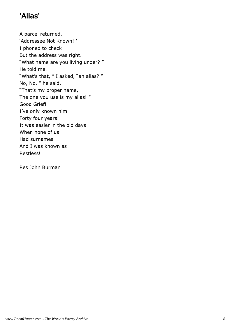# 'Alias'

A parcel returned. 'Addressee Not Known! ' I phoned to check But the address was right. "What name are you living under? " He told me. "What's that, " I asked, "an alias? " No, No, " he said, "That's my proper name, The one you use is my alias! " Good Grief! I've only known him Forty four years! It was easier in the old days When none of us Had surnames And I was known as Restless!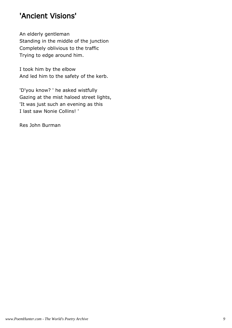## 'Ancient Visions'

An elderly gentleman Standing in the middle of the junction Completely oblivious to the traffic Trying to edge around him.

I took him by the elbow And led him to the safety of the kerb.

'D'you know? ' he asked wistfully Gazing at the mist haloed street lights, 'It was just such an evening as this I last saw Nonie Collins! '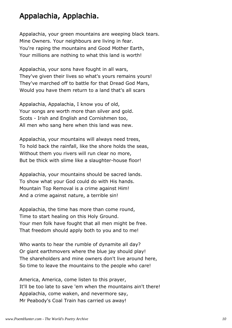# Appalachia, Applachia.

Appalachia, your green mountains are weeping black tears. Mine Owners. Your neighbours are living in fear. You're raping the mountains and Good Mother Earth, Your millions are nothing to what this land is worth!

Appalachia, your sons have fought in all wars, They've given their lives so what's yours remains yours! They've marched off to battle for that Dread God Mars, Would you have them return to a land that's all scars

Appalachia, Appalachia, I know you of old, Your songs are worth more than silver and gold. Scots - Irish and English and Cornishmen too, All men who sang here when this land was new.

Appalachia, your mountains will always need trees, To hold back the rainfall, like the shore holds the seas, Without them you rivers will run clear no more, But be thick with slime like a slaughter-house floor!

Appalachia, your mountains should be sacred lands. To show what your God could do with His hands. Mountain Top Removal is a crime against Him! And a crime against nature, a terrible sin!

Appalachia, the time has more than come round, Time to start healing on this Holy Ground. Your men folk have fought that all men might be free. That freedom should apply both to you and to me!

Who wants to hear the rumble of dynamite all day? Or giant earthmovers where the blue jay should play! The shareholders and mine owners don't live around here, So time to leave the mountains to the people who care!

America, America, come listen to this prayer, It'll be too late to save 'em when the mountains ain't there! Appalachia, come waken, and nevermore say, Mr Peabody's Coal Train has carried us away!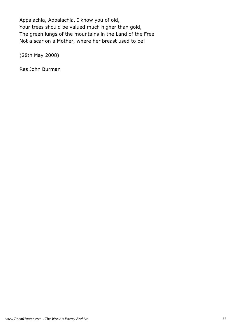Appalachia, Appalachia, I know you of old, Your trees should be valued much higher than gold, The green lungs of the mountains in the Land of the Free Not a scar on a Mother, where her breast used to be!

(28th May 2008)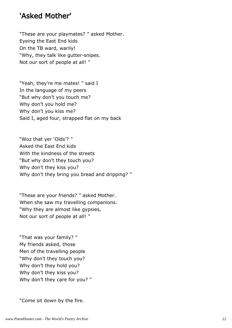#### 'Asked Mother'

"These are your playmates? " asked Mother. Eyeing the East End kids On the TB ward, warily! "Why, they talk like gutter-snipes. Not our sort of people at all! "

"Yeah, they're me mates! " said I In the language of my peers "But why don't you touch me? Why don't you hold me? Why don't you kiss me? Said I, aged four, strapped flat on my back

"Woz that yer 'Olds'? " Asked the East End kids With the kindness of the streets "But why don't they touch you? Why don't they kiss you? Why don't they bring you bread and dripping? "

"These are your friends? " asked Mother. When she saw my travelling companions. "Why they are almost like gypsies, Not our sort of people at all! "

"That was your family? " My friends asked, those Men of the travelling people "Why don't they touch you? Why don't they hold you? Why don't they kiss you? Why don't they care for you? "

"Come sit down by the fire.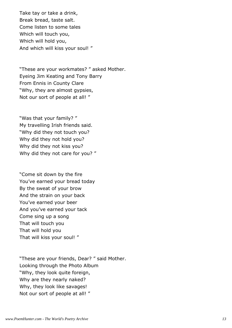Take tay or take a drink, Break bread, taste salt. Come listen to some tales Which will touch you, Which will hold you, And which will kiss your soul! "

"These are your workmates? " asked Mother. Eyeing Jim Keating and Tony Barry From Ennis in County Clare "Why, they are almost gypsies, Not our sort of people at all! "

"Was that your family? " My travelling Irish friends said. "Why did they not touch you? Why did they not hold you? Why did they not kiss you? Why did they not care for you? "

"Come sit down by the fire You've earned your bread today By the sweat of your brow And the strain on your back You've earned your beer And you've earned your tack Come sing up a song That will touch you That will hold you That will kiss your soul! "

"These are your friends, Dear? " said Mother. Looking through the Photo Album "Why, they look quite foreign, Why are they nearly naked? Why, they look like savages! Not our sort of people at all! "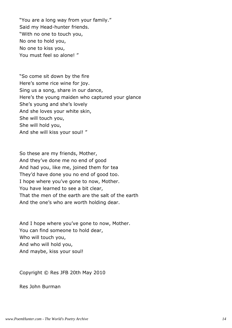"You are a long way from your family." Said my Head-hunter friends. "With no one to touch you, No one to hold you, No one to kiss you, You must feel so alone! "

"So come sit down by the fire Here's some rice wine for joy. Sing us a song, share in our dance, Here's the young maiden who captured your glance She's young and she's lovely And she loves your white skin, She will touch you, She will hold you, And she will kiss your soul! "

So these are my friends, Mother, And they've done me no end of good And had you, like me, joined them for tea They'd have done you no end of good too. I hope where you've gone to now, Mother. You have learned to see a bit clear, That the men of the earth are the salt of the earth And the one's who are worth holding dear.

And I hope where you've gone to now, Mother. You can find someone to hold dear, Who will touch you, And who will hold you, And maybe, kiss your soul!

Copyright © Res JFB 20th May 2010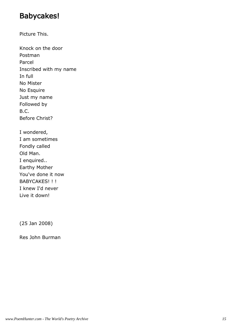#### Babycakes!

Picture This.

Knock on the door Postman Parcel Inscribed with my name In full No Mister No Esquire Just my name Followed by B.C. Before Christ?

I wondered, I am sometimes Fondly called Old Man. I enquired.. Earthy Mother You've done it now BABYCAKES! !! I knew I'd never Live it down!

(25 Jan 2008)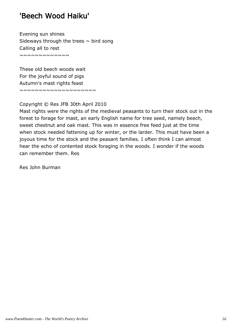# 'Beech Wood Haiku'

Evening sun shines Sideways through the trees  $\sim$  bird song Calling all to rest ~~~~~~~~~~~

These old beech woods wait For the joyful sound of pigs Autumn's mast rights feast ~~~~~~~~~~~~~~~~~~~~

Copyright © Res JFB 30th April 2010

Mast rights were the rights of the medieval peasants to turn their stock out in the forest to forage for mast, an early English name for tree seed, namely beech, sweet chestnut and oak mast. This was in essence free feed just at the time when stock needed fattening up for winter, or the larder. This must have been a joyous time for the stock and the peasant families. I often think I can almost hear the echo of contented stock foraging in the woods. I wonder if the woods can remember them. Res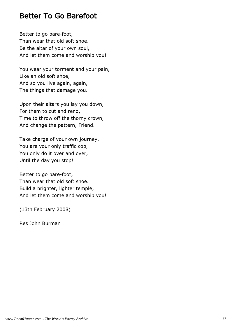#### Better To Go Barefoot

Better to go bare-foot, Than wear that old soft shoe. Be the altar of your own soul, And let them come and worship you!

You wear your torment and your pain, Like an old soft shoe, And so you live again, again, The things that damage you.

Upon their altars you lay you down, For them to cut and rend, Time to throw off the thorny crown, And change the pattern, Friend.

Take charge of your own journey, You are your only traffic cop, You only do it over and over, Until the day you stop!

Better to go bare-foot, Than wear that old soft shoe. Build a brighter, lighter temple, And let them come and worship you!

(13th February 2008)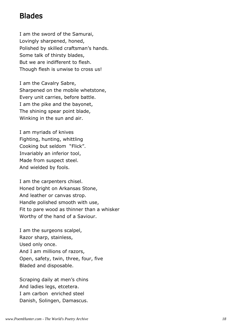# Blades

I am the sword of the Samurai, Lovingly sharpened, honed, Polished by skilled craftsman's hands. Some talk of thirsty blades, But we are indifferent to flesh. Though flesh is unwise to cross us!

I am the Cavalry Sabre, Sharpened on the mobile whetstone, Every unit carries, before battle. I am the pike and the bayonet, The shining spear point blade, Winking in the sun and air.

I am myriads of knives Fighting, hunting, whittling Cooking but seldom "Flick". Invariably an inferior tool, Made from suspect steel. And wielded by fools.

I am the carpenters chisel. Honed bright on Arkansas Stone, And leather or canvas strop. Handle polished smooth with use, Fit to pare wood as thinner than a whisker Worthy of the hand of a Saviour.

I am the surgeons scalpel, Razor sharp, stainless, Used only once. And I am millions of razors, Open, safety, twin, three, four, five Bladed and disposable.

Scraping daily at men's chins And ladies legs, etcetera. I am carbon enriched steel Danish, Solingen, Damascus.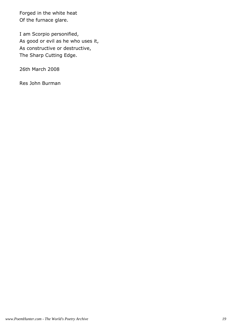Forged in the white heat Of the furnace glare.

I am Scorpio personified, As good or evil as he who uses it, As constructive or destructive, The Sharp Cutting Edge.

26th March 2008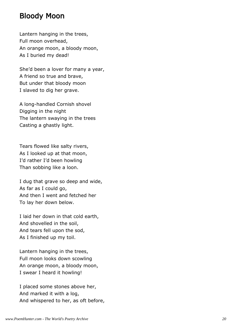#### Bloody Moon

Lantern hanging in the trees, Full moon overhead, An orange moon, a bloody moon, As I buried my dead!

She'd been a lover for many a year, A friend so true and brave, But under that bloody moon I slaved to dig her grave.

A long-handled Cornish shovel Digging in the night The lantern swaying in the trees Casting a ghastly light.

Tears flowed like salty rivers, As I looked up at that moon, I'd rather I'd been howling Than sobbing like a loon.

I dug that grave so deep and wide, As far as I could go, And then I went and fetched her To lay her down below.

I laid her down in that cold earth, And shovelled in the soil, And tears fell upon the sod, As I finished up my toil.

Lantern hanging in the trees, Full moon looks down scowling An orange moon, a bloody moon, I swear I heard it howling!

I placed some stones above her, And marked it with a log, And whispered to her, as oft before,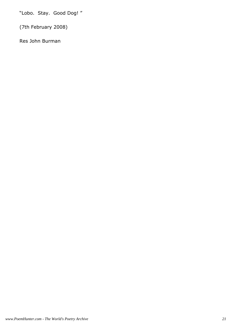"Lobo. Stay. Good Dog! "

(7th February 2008)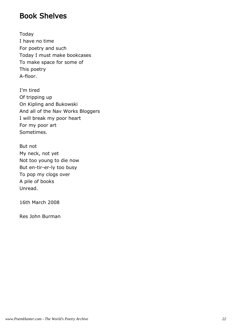#### Book Shelves

Today I have no time For poetry and such Today I must make bookcases To make space for some of This poetry A-floor.

I'm tired Of tripping up On Kipling and Bukowski And all of the Nav Works Bloggers I will break my poor heart For my poor art Sometimes.

But not My neck, not yet Not too young to die now But en-tir-er-ly too busy To pop my clogs over A pile of books Unread.

16th March 2008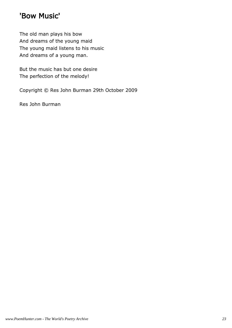#### 'Bow Music'

The old man plays his bow And dreams of the young maid The young maid listens to his music And dreams of a young man.

But the music has but one desire The perfection of the melody!

Copyright © Res John Burman 29th October 2009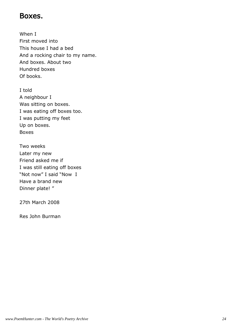#### Boxes.

When I First moved into This house I had a bed And a rocking chair to my name. And boxes. About two Hundred boxes Of books.

I told A neighbour I Was sitting on boxes. I was eating off boxes too. I was putting my feet Up on boxes. Boxes

Two weeks Later my new Friend asked me if I was still eating off boxes "Not now" I said "Now I Have a brand new Dinner plate! "

27th March 2008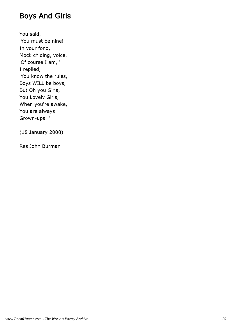# Boys And Girls

You said, 'You must be nine! ' In your fond, Mock chiding, voice. 'Of course I am, ' I replied, 'You know the rules, Boys WILL be boys, But Oh you Girls, You Lovely Girls, When you're awake, You are always Grown-ups! '

(18 January 2008)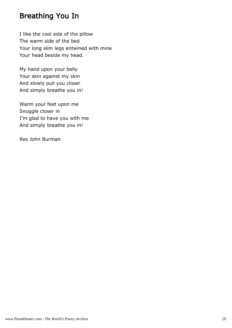# Breathing You In

I like the cool side of the pillow The warm side of the bed Your long slim legs entwined with mine Your head beside my head.

My hand upon your belly Your skin against my skin And slowly pull you closer And simply breathe you in!

Warm your feet upon me Snuggle closer in I'm glad to have you with me And simply breathe you in!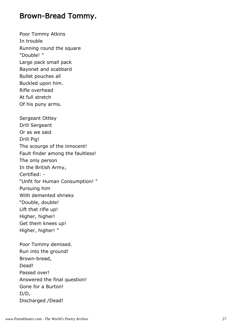#### Brown-Bread Tommy.

Poor Tommy Atkins In trouble Running round the square "Double! " Large pack small pack Bayonet and scabbard Bullet pouches all Buckled upon him. Rifle overhead At full stretch Of his puny arms. Sergeant Ottley Drill Sergeant Or as we said Drill Pig! The scourge of the innocent! Fault finder among the faultless! The only person In the British Army, Certified: - "Unfit for Human Consumption! " Pursuing him With demented shrieks "Double, double! Lift that rifle up! Higher, higher! Get them knees up! Higher, higher! " Poor Tommy demised. Run into the ground! Brown-bread, Dead! Passed over! Answered the final question! Gone for a Burton! D/D,

Discharged /Dead!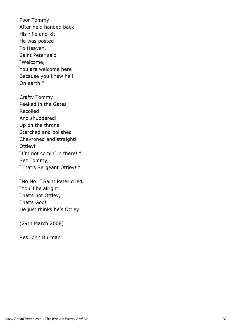Poor Tommy After he'd handed back His rifle and kit He was posted To Heaven. Saint Peter said "Welcome, You are welcome here Because you knew hell On earth."

Crafty Tommy Peeked in the Gates Recoiled! And shuddered! Up on the throne Starched and polished Chevroned and straight! Ottley! "I'm not comin' in there! " Sez Tommy, "That's Sergeant Ottley! "

"No No! " Saint Peter cried, "You'll be alright. That's not Ottley, That's God! He just thinks he's Ottley!

(29th March 2008)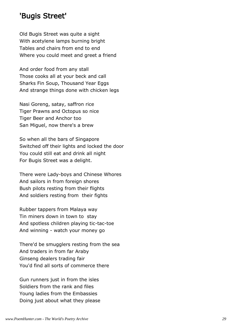#### 'Bugis Street'

Old Bugis Street was quite a sight With acetylene lamps burning bright Tables and chairs from end to end Where you could meet and greet a friend

And order food from any stall Those cooks all at your beck and call Sharks Fin Soup, Thousand Year Eggs And strange things done with chicken legs

Nasi Goreng, satay, saffron rice Tiger Prawns and Octopus so nice Tiger Beer and Anchor too San Miguel, now there's a brew

So when all the bars of Singapore Switched off their lights and locked the door You could still eat and drink all night For Bugis Street was a delight.

There were Lady-boys and Chinese Whores And sailors in from foreign shores Bush pilots resting from their flights And soldiers resting from their fights

Rubber tappers from Malaya way Tin miners down in town to stay And spotless children playing tic-tac-toe And winning - watch your money go

There'd be smugglers resting from the sea And traders in from far Araby Ginseng dealers trading fair You'd find all sorts of commerce there

Gun runners just in from the isles Soldiers from the rank and files Young ladies from the Embassies Doing just about what they please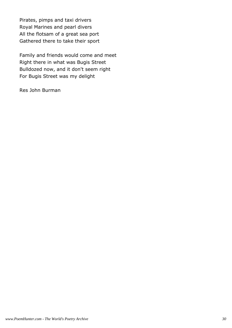Pirates, pimps and taxi drivers Royal Marines and pearl divers All the flotsam of a great sea port Gathered there to take their sport

Family and friends would come and meet Right there in what was Bugis Street Bulldozed now, and it don't seem right For Bugis Street was my delight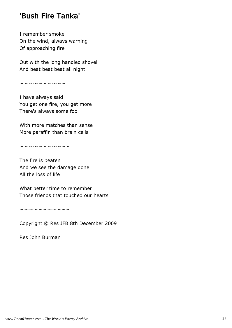#### 'Bush Fire Tanka'

I remember smoke On the wind, always warning Of approaching fire

Out with the long handled shovel And beat beat beat all night

~~~~~~~~~~~~

I have always said You get one fire, you get more There's always some fool

With more matches than sense More paraffin than brain cells

~~~~~~~~~~~~~

The fire is beaten And we see the damage done All the loss of life

What better time to remember Those friends that touched our hearts

~~~~~~~~~~~

Copyright © Res JFB 8th December 2009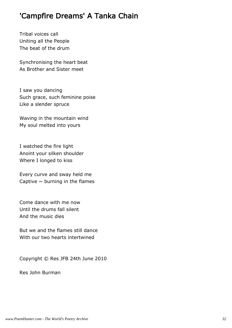# 'Campfire Dreams' A Tanka Chain

Tribal voices call Uniting all the People The beat of the drum

Synchronising the heart beat As Brother and Sister meet

I saw you dancing Such grace, such feminine poise Like a slender spruce

Waving in the mountain wind My soul melted into yours

I watched the fire light Anoint your silken shoulder Where I longed to kiss

Every curve and sway held me Captive  $\sim$  burning in the flames

Come dance with me now Until the drums fall silent And the music dies

But we and the flames still dance With our two hearts intertwined

Copyright © Res JFB 24th June 2010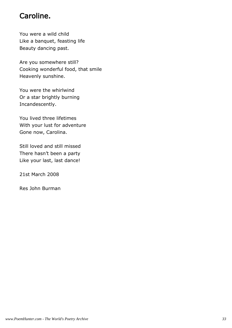# Caroline.

You were a wild child Like a banquet, feasting life Beauty dancing past.

Are you somewhere still? Cooking wonderful food, that smile Heavenly sunshine.

You were the whirlwind Or a star brightly burning Incandescently.

You lived three lifetimes With your lust for adventure Gone now, Carolina.

Still loved and still missed There hasn't been a party Like your last, last dance!

21st March 2008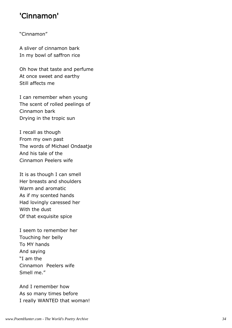# 'Cinnamon'

#### "Cinnamon"

A sliver of cinnamon bark In my bowl of saffron rice

Oh how that taste and perfume At once sweet and earthy Still affects me

I can remember when young The scent of rolled peelings of Cinnamon bark Drying in the tropic sun

I recall as though From my own past The words of Michael Ondaatje And his tale of the Cinnamon Peelers wife

It is as though I can smell Her breasts and shoulders Warm and aromatic As if my scented hands Had lovingly caressed her With the dust Of that exquisite spice

I seem to remember her Touching her belly To MY hands And saying "I am the Cinnamon Peelers wife Smell me."

And I remember how As so many times before I really WANTED that woman!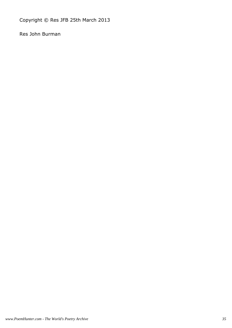Copyright © Res JFB 25th March 2013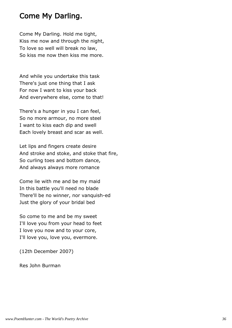#### Come My Darling.

Come My Darling. Hold me tight, Kiss me now and through the night, To love so well will break no law, So kiss me now then kiss me more.

And while you undertake this task There's just one thing that I ask For now I want to kiss your back And everywhere else, come to that!

There's a hunger in you I can feel, So no more armour, no more steel I want to kiss each dip and swell Each lovely breast and scar as well.

Let lips and fingers create desire And stroke and stoke, and stoke that fire, So curling toes and bottom dance, And always always more romance

Come lie with me and be my maid In this battle you'll need no blade There'll be no winner, nor vanquish-ed Just the glory of your bridal bed

So come to me and be my sweet I'll love you from your head to feet I love you now and to your core, I'll love you, love you, evermore.

(12th December 2007)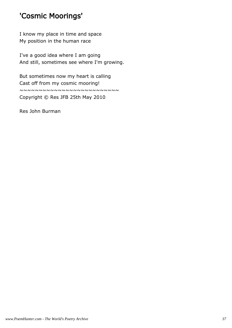# 'Cosmic Moorings'

I know my place in time and space My position in the human race

I've a good idea where I am going And still, sometimes see where I'm growing.

But sometimes now my heart is calling Cast off from my cosmic mooring! ~~~~~~~~~~~~~~~~~~~~~~~~~~ Copyright © Res JFB 25th May 2010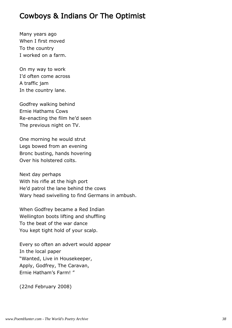#### Cowboys & Indians Or The Optimist

Many years ago When I first moved To the country I worked on a farm.

On my way to work I'd often come across A traffic jam In the country lane.

Godfrey walking behind Ernie Hathams Cows Re-enacting the film he'd seen The previous night on TV.

One morning he would strut Legs bowed from an evening Bronc busting, hands hovering Over his holstered colts.

Next day perhaps With his rifle at the high port He'd patrol the lane behind the cows Wary head swivelling to find Germans in ambush.

When Godfrey became a Red Indian Wellington boots lifting and shuffling To the beat of the war dance You kept tight hold of your scalp.

Every so often an advert would appear In the local paper "Wanted, Live in Housekeeper, Apply, Godfrey, The Caravan, Ernie Hatham's Farm! "

(22nd February 2008)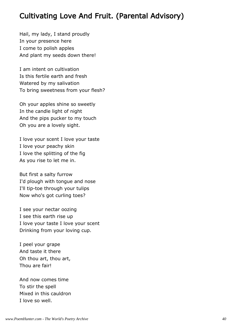## Cultivating Love And Fruit. (Parental Advisory)

Hail, my lady, I stand proudly In your presence here I come to polish apples And plant my seeds down there!

I am intent on cultivation Is this fertile earth and fresh Watered by my salivation To bring sweetness from your flesh?

Oh your apples shine so sweetly In the candle light of night And the pips pucker to my touch Oh you are a lovely sight.

I love your scent I love your taste I love your peachy skin I love the splitting of the fig As you rise to let me in.

But first a salty furrow I'd plough with tongue and nose I'll tip-toe through your tulips Now who's got curling toes?

I see your nectar oozing I see this earth rise up I love your taste I love your scent Drinking from your loving cup.

I peel your grape And taste it there Oh thou art, thou art, Thou are fair!

And now comes time To stir the spell Mixed in this cauldron I love so well.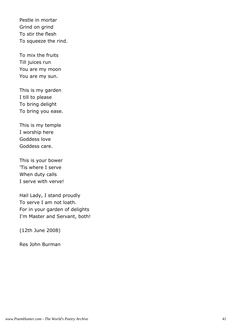Pestle in mortar Grind on grind To stir the flesh To squeeze the rind.

To mix the fruits Till juices run You are my moon You are my sun.

This is my garden I till to please To bring delight To bring you ease.

This is my temple I worship here Goddess love Goddess care.

This is your bower 'Tis where I serve When duty calls I serve with verve!

Hail Lady, I stand proudly To serve I am not loath. For in your garden of delights I'm Master and Servant, both!

(12th June 2008)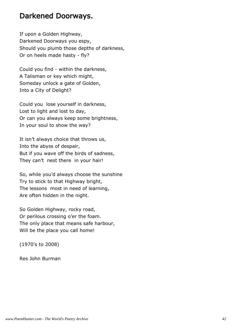#### Darkened Doorways.

If upon a Golden Highway, Darkened Doorways you espy, Should you plumb those depths of darkness, Or on heels made hasty - fly?

Could you find - within the darkness, A Talisman or key which might, Someday unlock a gate of Golden, Into a City of Delight?

Could you lose yourself in darkness, Lost to light and lost to day, Or can you always keep some brightness, In your soul to show the way?

It isn't always choice that throws us, Into the abyss of despair, But if you wave off the birds of sadness, They can't nest there in your hair!

So, while you'd always choose the sunshine Try to stick to that Highway bright, The lessons most in need of learning, Are often hidden in the night.

So Golden Highway, rocky road, Or perilous crossing o'er the foam. The only place that means safe harbour, Will be the place you call home!

(1970's to 2008)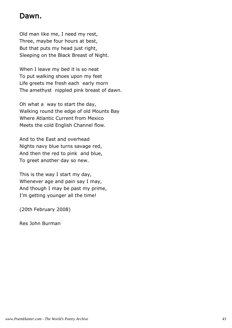#### Dawn.

Old man like me, I need my rest, Three, maybe four hours at best, But that puts my head just right, Sleeping on the Black Breast of Night.

When I leave my bed it is so neat To put walking shoes upon my feet Life greets me fresh each early morn The amethyst nippled pink breast of dawn.

Oh what a way to start the day, Walking round the edge of old Mounts Bay Where Atlantic Current from Mexico Meets the cold English Channel flow.

And to the East and overhead Nights navy blue turns savage red, And then the red to pink and blue, To greet another day so new.

This is the way I start my day, Whenever age and pain say I may, And though I may be past my prime, I'm getting younger all the time!

(20th February 2008)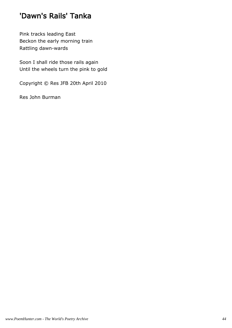# 'Dawn's Rails' Tanka

Pink tracks leading East Beckon the early morning train Rattling dawn-wards

Soon I shall ride those rails again Until the wheels turn the pink to gold

Copyright © Res JFB 20th April 2010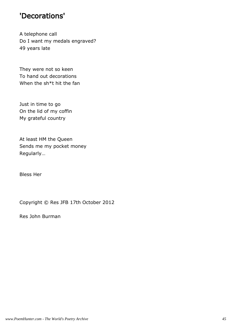#### 'Decorations'

A telephone call Do I want my medals engraved? 49 years late

They were not so keen To hand out decorations When the sh\*t hit the fan

Just in time to go On the lid of my coffin My grateful country

At least HM the Queen Sends me my pocket money Regularly…

Bless Her

Copyright © Res JFB 17th October 2012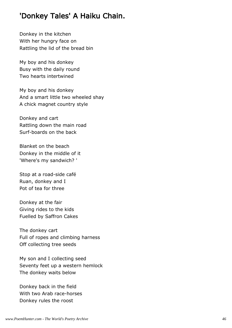### 'Donkey Tales' A Haiku Chain.

Donkey in the kitchen With her hungry face on Rattling the lid of the bread bin

My boy and his donkey Busy with the daily round Two hearts intertwined

My boy and his donkey And a smart little two wheeled shay A chick magnet country style

Donkey and cart Rattling down the main road Surf-boards on the back

Blanket on the beach Donkey in the middle of it 'Where's my sandwich? '

Stop at a road-side café Ruan, donkey and I Pot of tea for three

Donkey at the fair Giving rides to the kids Fuelled by Saffron Cakes

The donkey cart Full of ropes and climbing harness Off collecting tree seeds

My son and I collecting seed Seventy feet up a western hemlock The donkey waits below

Donkey back in the field With two Arab race-horses Donkey rules the roost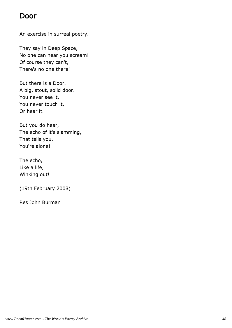### Door

An exercise in surreal poetry.

They say in Deep Space, No one can hear you scream! Of course they can't, There's no one there!

But there is a Door. A big, stout, solid door. You never see it, You never touch it, Or hear it.

But you do hear, The echo of it's slamming, That tells you, You're alone!

The echo, Like a life, Winking out!

(19th February 2008)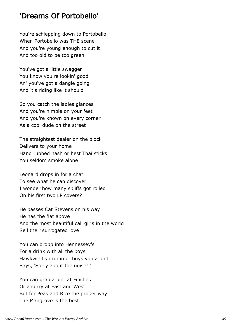#### 'Dreams Of Portobello'

You're schlepping down to Portobello When Portobello was THE scene And you're young enough to cut it And too old to be too green

You've got a little swagger You know you're lookin' good An' you've got a dangle going And it's riding like it should

So you catch the ladies glances And you're nimble on your feet And you're known on every corner As a cool dude on the street

The straightest dealer on the block Delivers to your home Hand rubbed hash or best Thai sticks You seldom smoke alone

Leonard drops in for a chat To see what he can discover I wonder how many spliffs got rolled On his first two LP covers?

He passes Cat Stevens on his way He has the flat above And the most beautiful call girls in the world Sell their surrogated love

You can dropp into Hennessey's For a drink with all the boys Hawkwind's drummer buys you a pint Says, 'Sorry about the noise! '

You can grab a pint at Finches Or a curry at East and West But for Peas and Rice the proper way The Mangrove is the best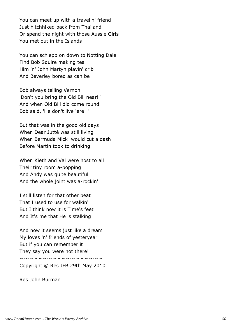You can meet up with a travelin' friend Just hitchhiked back from Thailand Or spend the night with those Aussie Girls You met out in the Islands

You can schlepp on down to Notting Dale Find Bob Squire making tea Him 'n' John Martyn playin' crib And Beverley bored as can be

Bob always telling Vernon 'Don't you bring the Old Bill near! ' And when Old Bill did come round Bob said, 'He don't live 'ere! '

But that was in the good old days When Dear Juttè was still living When Bermuda Mick would cut a dash Before Martin took to drinking.

When Kieth and Val were host to all Their tiny room a-popping And Andy was quite beautiful And the whole joint was a-rockin'

I still listen for that other beat That I used to use for walkin' But I think now it is Time's feet And It's me that He is stalking

And now it seems just like a dream My loves 'n' friends of yesteryear But if you can remember it They say you were not there! ~~~~~~~~~~~~~~~~~~~~~~ Copyright © Res JFB 29th May 2010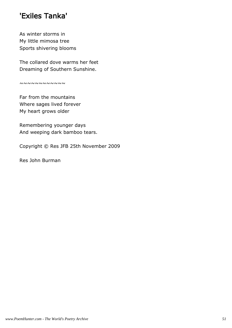#### 'Exiles Tanka'

As winter storms in My little mimosa tree Sports shivering blooms

The collared dove warms her feet Dreaming of Southern Sunshine.

~~~~~~~~~~

Far from the mountains Where sages lived forever My heart grows older

Remembering younger days And weeping dark bamboo tears.

Copyright © Res JFB 25th November 2009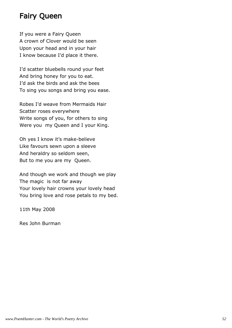# Fairy Queen

If you were a Fairy Queen A crown of Clover would be seen Upon your head and in your hair I know because I'd place it there.

I'd scatter bluebells round your feet And bring honey for you to eat. I'd ask the birds and ask the bees To sing you songs and bring you ease.

Robes I'd weave from Mermaids Hair Scatter roses everywhere Write songs of you, for others to sing Were you my Queen and I your King.

Oh yes I know it's make-believe Like favours sewn upon a sleeve And heraldry so seldom seen, But to me you are my Queen.

And though we work and though we play The magic is not far away Your lovely hair crowns your lovely head You bring love and rose petals to my bed.

11th May 2008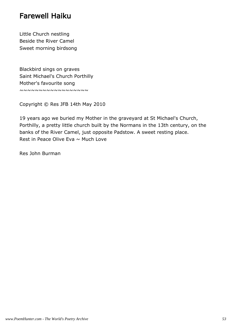## Farewell Haiku

Little Church nestling Beside the River Camel Sweet morning birdsong

Blackbird sings on graves Saint Michael's Church Porthilly Mother's favourite song ~~~~~~~~~~~~~~~~~

Copyright © Res JFB 14th May 2010

19 years ago we buried my Mother in the graveyard at St Michael's Church, Porthilly, a pretty little church built by the Normans in the 13th century, on the banks of the River Camel, just opposite Padstow. A sweet resting place. Rest in Peace Olive Eva  $\sim$  Much Love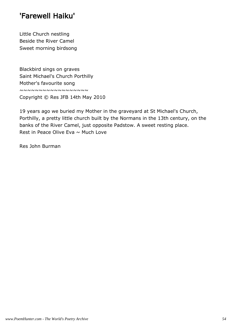## 'Farewell Haiku'

Little Church nestling Beside the River Camel Sweet morning birdsong

Blackbird sings on graves Saint Michael's Church Porthilly Mother's favourite song ~~~~~~~~~~~~~~~~~~ Copyright © Res JFB 14th May 2010

19 years ago we buried my Mother in the graveyard at St Michael's Church, Porthilly, a pretty little church built by the Normans in the 13th century, on the banks of the River Camel, just opposite Padstow. A sweet resting place. Rest in Peace Olive Eva  $\sim$  Much Love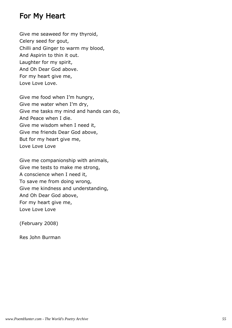## For My Heart

Give me seaweed for my thyroid, Celery seed for gout, Chilli and Ginger to warm my blood, And Aspirin to thin it out. Laughter for my spirit, And Oh Dear God above. For my heart give me, Love Love Love.

Give me food when I'm hungry, Give me water when I'm dry, Give me tasks my mind and hands can do, And Peace when I die. Give me wisdom when I need it, Give me friends Dear God above, But for my heart give me, Love Love Love

Give me companionship with animals, Give me tests to make me strong, A conscience when I need it, To save me from doing wrong, Give me kindness and understanding, And Oh Dear God above, For my heart give me, Love Love Love

(February 2008)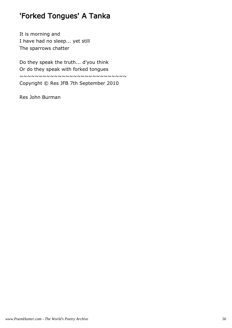# 'Forked Tongues' A Tanka

It is morning and I have had no sleep... yet still The sparrows chatter

Do they speak the truth... d'you think Or do they speak with forked tongues ~~~~~~~~~~~~~~~~~~~~~~~~~~~~ Copyright © Res JFB 7th September 2010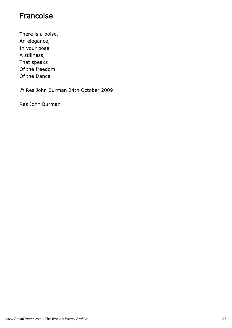# Francoise

There is a poise, An elegance, In your pose. A stillness, That speaks Of the freedom Of the Dance.

© Res John Burman 24th October 2009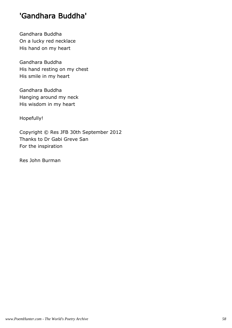# 'Gandhara Buddha'

Gandhara Buddha On a lucky red necklace His hand on my heart

Gandhara Buddha His hand resting on my chest His smile in my heart

Gandhara Buddha Hanging around my neck His wisdom in my heart

Hopefully!

Copyright © Res JFB 30th September 2012 Thanks to Dr Gabi Greve San For the inspiration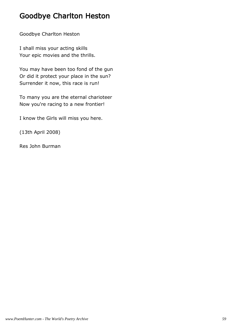# Goodbye Charlton Heston

Goodbye Charlton Heston

I shall miss your acting skills Your epic movies and the thrills.

You may have been too fond of the gun Or did it protect your place in the sun? Surrender it now, this race is run!

To many you are the eternal charioteer Now you're racing to a new frontier!

I know the Girls will miss you here.

(13th April 2008)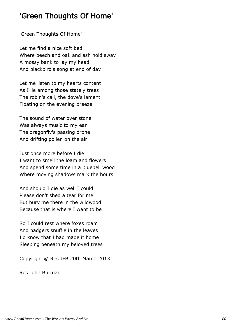# 'Green Thoughts Of Home'

'Green Thoughts Of Home'

Let me find a nice soft bed Where beech and oak and ash hold sway A mossy bank to lay my head And blackbird's song at end of day

Let me listen to my hearts content As I lie among those stately trees The robin's call, the dove's lament Floating on the evening breeze

The sound of water over stone Was always music to my ear The dragonfly's passing drone And drifting pollen on the air

Just once more before I die I want to smell the loam and flowers And spend some time in a bluebell wood Where moving shadows mark the hours

And should I die as well I could Please don't shed a tear for me But bury me there in the wildwood Because that is where I want to be

So I could rest where foxes roam And badgers snuffle in the leaves I'd know that I had made it home Sleeping beneath my beloved trees

Copyright © Res JFB 20th March 2013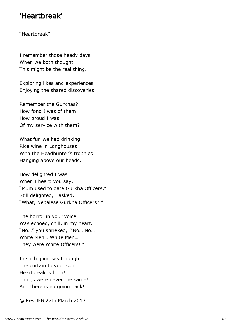#### 'Heartbreak'

"Heartbreak"

I remember those heady days When we both thought This might be the real thing.

Exploring likes and experiences Enjoying the shared discoveries.

Remember the Gurkhas? How fond I was of them How proud I was Of my service with them?

What fun we had drinking Rice wine in Longhouses With the Headhunter's trophies Hanging above our heads.

How delighted I was When I heard you say, "Mum used to date Gurkha Officers." Still delighted, I asked, "What, Nepalese Gurkha Officers? "

The horror in your voice Was echoed, chill, in my heart. "No…" you shrieked, "No… No… White Men… White Men… They were White Officers! "

In such glimpses through The curtain to your soul Heartbreak is born! Things were never the same! And there is no going back!

© Res JFB 27th March 2013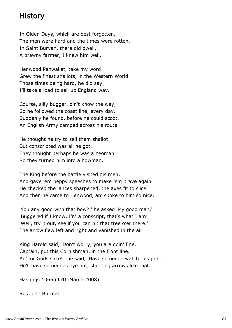#### **History**

In Olden Days, which are best forgotten, The men were hard and the times were rotten. In Saint Buryan, there did dwell, A brawny farmer, I knew him well.

Henwood Penwallet, take my word Grew the finest shallots, in the Western World. Those times being hard, he did say, I'll take a load to sell up England way.

Course, silly bugger, din't know the way, So he followed the coast line, every day. Suddenly he found, before he could scoot, An English Army camped across his route.

He thought he try to sell them shallot But conscripted was all he got. They thought perhaps he was a Yeoman So they turned him into a bowman.

The King before the battle visited his men, And gave 'em peppy speeches to make 'em brave again He checked the lances sharpened, the axes fit to slice And then he came to Henwood, an' spoke to him so nice.

'You any good with that bow? ' he asked 'My good man.' 'Buggered if I know, I'm a conscript, that's what I am! ' 'Well, try it out, see if you can hit that tree o'er there.' The arrow flew left and right and vanished in the air!

King Harold said, 'Don't worry, you are doin' fine. Captain, put this Cornishman, in the front line. An' for Gods sake! ' he said, 'Have someone watch this prat, He'll have someones eye out, shooting arrows like that.

Hastings 1066 (17th March 2008)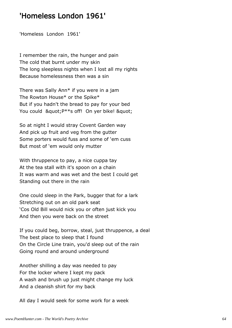#### 'Homeless London 1961'

'Homeless London 1961'

I remember the rain, the hunger and pain The cold that burnt under my skin The long sleepless nights when I lost all my rights Because homelessness then was a sin

There was Sally Ann\* if you were in a jam The Rowton House\* or the Spike\* But if you hadn't the bread to pay for your bed You could & Quot; P\*\*s off! On yer bike! & quot;

So at night I would stray Covent Garden way And pick up fruit and veg from the gutter Some porters would fuss and some of 'em cuss But most of 'em would only mutter

With thruppence to pay, a nice cuppa tay At the tea stall with it's spoon on a chain It was warm and was wet and the best I could get Standing out there in the rain

One could sleep in the Park, bugger that for a lark Stretching out on an old park seat 'Cos Old Bill would nick you or often just kick you And then you were back on the street

If you could beg, borrow, steal, just thruppence, a deal The best place to sleep that I found On the Circle Line train, you'd sleep out of the rain Going round and around underground

Another shilling a day was needed to pay For the locker where I kept my pack A wash and brush up just might change my luck And a cleanish shirt for my back

All day I would seek for some work for a week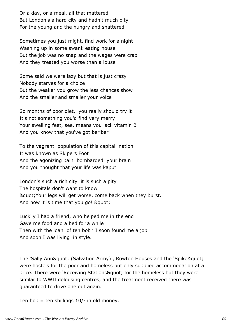Or a day, or a meal, all that mattered But London's a hard city and hadn't much pity For the young and the hungry and shattered

Sometimes you just might, find work for a night Washing up in some swank eating house But the job was no snap and the wages were crap And they treated you worse than a louse

Some said we were lazy but that is just crazy Nobody starves for a choice But the weaker you grow the less chances show And the smaller and smaller your voice

So months of poor diet, you really should try it It's not something you'd find very merry Your swelling feet, see, means you lack vitamin B And you know that you've got beriberi

To the vagrant population of this capital nation It was known as Skipers Foot And the agonizing pain bombarded your brain And you thought that your life was kaput

London's such a rich city it is such a pity The hospitals don't want to know & quot; Your legs will get worse, come back when they burst. And now it is time that you go! & quot;

Luckily I had a friend, who helped me in the end Gave me food and a bed for a while Then with the loan of ten bob\* I soon found me a job And soon I was living in style.

The 'Sally Ann" (Salvation Army), Rowton Houses and the 'Spike" were hostels for the poor and homeless but only supplied accommodation at a price. There were 'Receiving Stations" for the homeless but they were similar to WWII delousing centres, and the treatment received there was guaranteed to drive one out again.

Ten bob = ten shillings  $10/-$  in old money.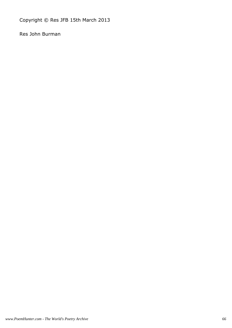Copyright © Res JFB 15th March 2013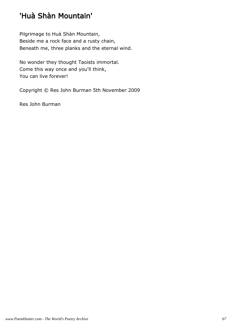# 'Huà Shàn Mountain'

Pilgrimage to Huà Shàn Mountain, Beside me a rock face and a rusty chain, Beneath me, three planks and the eternal wind.

No wonder they thought Taoists immortal. Come this way once and you'll think, You can live forever!

Copyright © Res John Burman 5th November 2009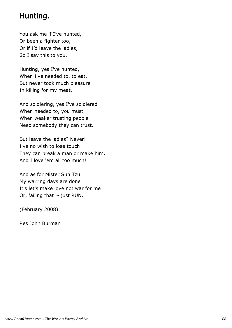# Hunting.

You ask me if I've hunted, Or been a fighter too, Or if I'd leave the ladies, So I say this to you.

Hunting, yes I've hunted, When I've needed to, to eat, But never took much pleasure In killing for my meat.

And soldiering, yes I've soldiered When needed to, you must When weaker trusting people Need somebody they can trust.

But leave the ladies? Never! I've no wish to lose touch They can break a man or make him, And I love 'em all too much!

And as for Mister Sun Tzu My warring days are done It's let's make love not war for me Or, failing that  $\sim$  just RUN.

(February 2008)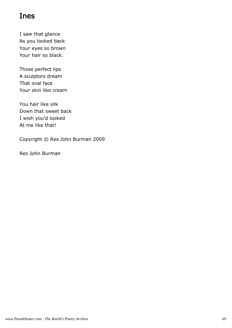# Ines

I saw that glance As you looked back Your eyes so brown Your hair so black.

Those perfect lips A sculptors dream That oval face Your skin like cream

You hair like silk Down that sweet back I wish you'd looked At me like that!

Copyright © Res John Burman 2009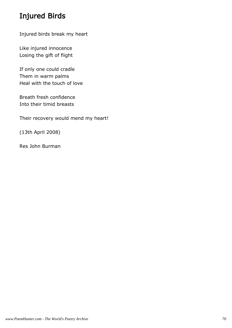# Injured Birds

Injured birds break my heart

Like injured innocence Losing the gift of flight

If only one could cradle Them in warm palms Heal with the touch of love

Breath fresh confidence Into their timid breasts

Their recovery would mend my heart!

(13th April 2008)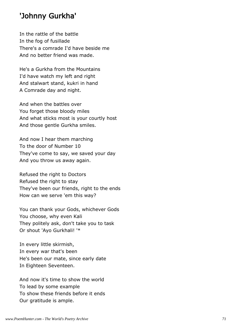#### 'Johnny Gurkha'

In the rattle of the battle In the fog of fusillade There's a comrade I'd have beside me And no better friend was made.

He's a Gurkha from the Mountains I'd have watch my left and right And stalwart stand, kukri in hand A Comrade day and night.

And when the battles over You forget those bloody miles And what sticks most is your courtly host And those gentle Gurkha smiles.

And now I hear them marching To the door of Number 10 They've come to say, we saved your day And you throw us away again.

Refused the right to Doctors Refused the right to stay They've been our friends, right to the ends How can we serve 'em this way?

You can thank your Gods, whichever Gods You choose, why even Kali They politely ask, don't take you to task Or shout 'Ayo Gurkhali! '\*

In every little skirmish, In every war that's been He's been our mate, since early date In Eighteen Seventeen.

And now it's time to show the world To lead by some example To show these friends before it ends Our gratitude is ample.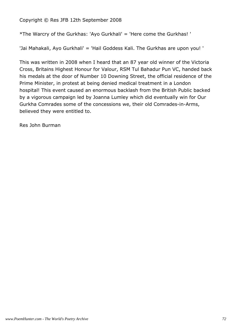### Copyright © Res JFB 12th September 2008

\*The Warcry of the Gurkhas: 'Ayo Gurkhali' = 'Here come the Gurkhas! '

'Jai Mahakali, Ayo Gurkhali' = 'Hail Goddess Kali. The Gurkhas are upon you! '

This was written in 2008 when I heard that an 87 year old winner of the Victoria Cross, Britains Highest Honour for Valour, RSM Tul Bahadur Pun VC, handed back his medals at the door of Number 10 Downing Street, the official residence of the Prime Minister, in protest at being denied medical treatment in a London hospital! This event caused an enormous backlash from the British Public backed by a vigorous campaign led by Joanna Lumley which did eventually win for Our Gurkha Comrades some of the concessions we, their old Comrades-in-Arms, believed they were entitled to.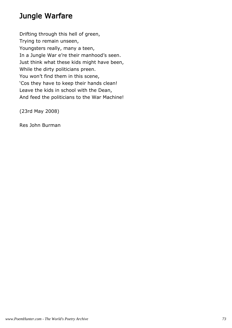# Jungle Warfare

Drifting through this hell of green, Trying to remain unseen, Youngsters really, many a teen, In a Jungle War e're their manhood's seen. Just think what these kids might have been, While the dirty politicians preen. You won't find them in this scene, 'Cos they have to keep their hands clean! Leave the kids in school with the Dean, And feed the politicians to the War Machine!

(23rd May 2008)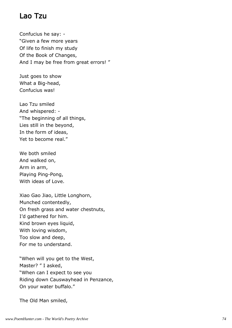# Lao Tzu

Confucius he say: - "Given a few more years Of life to finish my study Of the Book of Changes, And I may be free from great errors! "

Just goes to show What a Big-head, Confucius was!

Lao Tzu smiled And whispered: - "The beginning of all things, Lies still in the beyond, In the form of ideas, Yet to become real."

We both smiled And walked on, Arm in arm, Playing Ping-Pong, With ideas of Love.

Xiao Gao Jiao, Little Longhorn, Munched contentedly, On fresh grass and water chestnuts, I'd gathered for him. Kind brown eyes liquid, With loving wisdom, Too slow and deep, For me to understand.

"When will you get to the West, Master? " I asked, "When can I expect to see you Riding down Causwayhead in Penzance, On your water buffalo."

The Old Man smiled,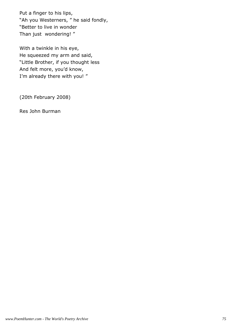Put a finger to his lips, "Ah you Westerners, " he said fondly, "Better to live in wonder Than just wondering! "

With a twinkle in his eye, He squeezed my arm and said, "Little Brother, if you thought less And felt more, you'd know, I'm already there with you! "

(20th February 2008)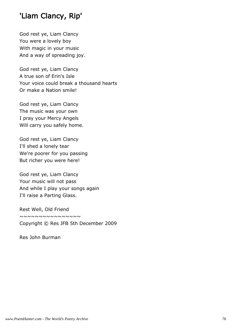### 'Liam Clancy, Rip'

God rest ye, Liam Clancy You were a lovely boy With magic in your music And a way of spreading joy.

God rest ye, Liam Clancy A true son of Erin's Isle Your voice could break a thousand hearts Or make a Nation smile!

God rest ye, Liam Clancy The music was your own I pray your Mercy Angels Will carry you safely home.

God rest ye, Liam Clancy I'll shed a lonely tear We're poorer for you passing But richer you were here!

God rest ye, Liam Clancy Your music will not pass And while I play your songs again I'll raise a Parting Glass.

Rest Well, Old Friend  $~\sim~$ Copyright © Res JFB 5th December 2009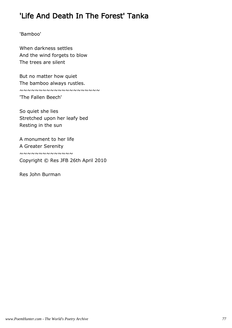# 'Life And Death In The Forest' Tanka

### 'Bamboo'

When darkness settles And the wind forgets to blow The trees are silent

But no matter how quiet The bamboo always rustles. ~~~~~~~~~~~~~~~~~~~~~ 'The Fallen Beech'

So quiet she lies Stretched upon her leafy bed Resting in the sun

A monument to her life A Greater Serenity  $~\sim~\sim~\sim~\sim~\sim~\sim~\sim~\sim$ Copyright © Res JFB 26th April 2010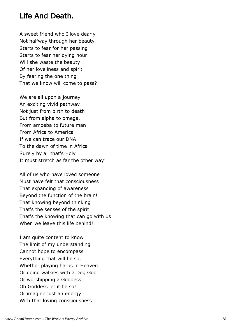### Life And Death.

A sweet friend who I love dearly Not halfway through her beauty Starts to fear for her passing Starts to fear her dying hour Will she waste the beauty Of her loveliness and spirit By fearing the one thing That we know will come to pass?

We are all upon a journey An exciting vivid pathway Not just from birth to death But from alpha to omega. From amoeba to future man From Africa to America If we can trace our DNA To the dawn of time in Africa Surely by all that's Holy It must stretch as far the other way!

All of us who have loved someone Must have felt that consciousness That expanding of awareness Beyond the function of the brain! That knowing beyond thinking That's the senses of the spirit That's the knowing that can go with us When we leave this life behind!

I am quite content to know The limit of my understanding Cannot hope to encompass Everything that will be so. Whether playing harps in Heaven Or going walkies with a Dog God Or worshipping a Goddess Oh Goddess let it be so! Or imagine just an energy With that loving consciousness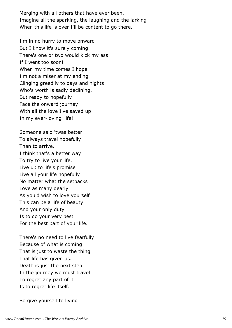Merging with all others that have ever been. Imagine all the sparking, the laughing and the larking When this life is over I'll be content to go there.

I'm in no hurry to move onward But I know it's surely coming There's one or two would kick my ass If I went too soon! When my time comes I hope I'm not a miser at my ending Clinging greedily to days and nights Who's worth is sadly declining. But ready to hopefully Face the onward journey With all the love I've saved up In my ever-loving' life!

Someone said 'twas better To always travel hopefully Than to arrive. I think that's a better way To try to live your life. Live up to life's promise Live all your life hopefully No matter what the setbacks Love as many dearly As you'd wish to love yourself This can be a life of beauty And your only duty Is to do your very best For the best part of your life.

There's no need to live fearfully Because of what is coming That is just to waste the thing That life has given us. Death is just the next step In the journey we must travel To regret any part of it Is to regret life itself.

So give yourself to living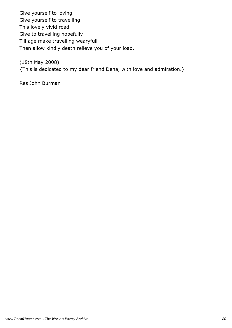Give yourself to loving Give yourself to travelling This lovely vivid road Give to travelling hopefully Till age make travelling wearyfull Then allow kindly death relieve you of your load.

(18th May 2008) {This is dedicated to my dear friend Dena, with love and admiration.}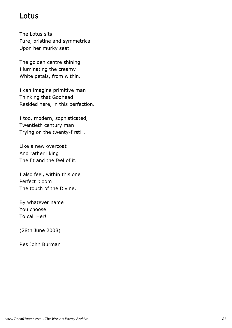### Lotus

The Lotus sits Pure, pristine and symmetrical Upon her murky seat.

The golden centre shining Illuminating the creamy White petals, from within.

I can imagine primitive man Thinking that Godhead Resided here, in this perfection.

I too, modern, sophisticated, Twentieth century man Trying on the twenty-first! .

Like a new overcoat And rather liking The fit and the feel of it.

I also feel, within this one Perfect bloom The touch of the Divine.

By whatever name You choose To call Her!

(28th June 2008)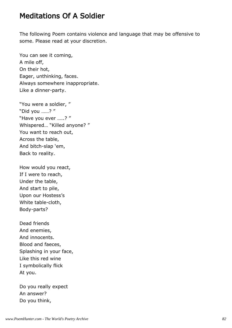### Meditations Of A Soldier

The following Poem contains violence and language that may be offensive to some. Please read at your discretion.

You can see it coming, A mile off, On their hot, Eager, unthinking, faces. Always somewhere inappropriate. Like a dinner-party.

"You were a soldier, " "Did you ……? " "Have you ever …..? " Whispered… "Killed anyone? " You want to reach out, Across the table, And bitch-slap 'em, Back to reality.

How would you react, If I were to reach, Under the table, And start to pile, Upon our Hostess's White table-cloth, Body-parts?

Dead friends And enemies, And innocents. Blood and faeces, Splashing in your face, Like this red wine I symbolically flick At you.

Do you really expect An answer? Do you think,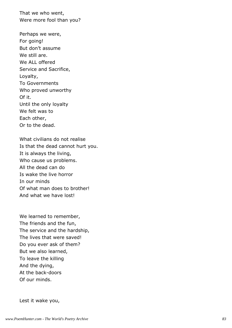That we who went, Were more fool than you?

Perhaps we were, For going! But don't assume We still are. We ALL offered Service and Sacrifice, Loyalty, To Governments Who proved unworthy Of it. Until the only loyalty We felt was to Each other, Or to the dead.

What civilians do not realise Is that the dead cannot hurt you. It is always the living, Who cause us problems. All the dead can do Is wake the live horror In our minds Of what man does to brother! And what we have lost!

We learned to remember, The friends and the fun, The service and the hardship, The lives that were saved! Do you ever ask of them? But we also learned, To leave the killing And the dying, At the back-doors Of our minds.

Lest it wake you,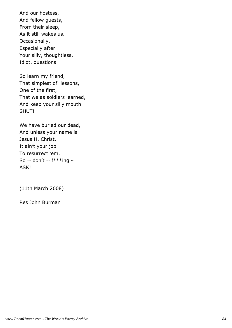And our hostess, And fellow guests, From their sleep, As it still wakes us. Occasionally. Especially after Your silly, thoughtless, Idiot, questions!

So learn my friend, That simplest of lessons, One of the first, That we as soldiers learned, And keep your silly mouth SHUT!

We have buried our dead, And unless your name is Jesus H. Christ, It ain't your job To resurrect 'em. So  $\sim$  don't  $\sim$  f\*\*\*ing  $\sim$ ASK!

(11th March 2008)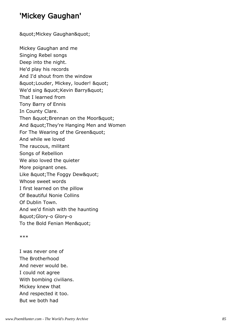# 'Mickey Gaughan'

& quot; Mickey Gaughan & quot;

Mickey Gaughan and me Singing Rebel songs Deep into the night. He'd play his records And I'd shout from the window & guot; Louder, Mickey, louder! & guot; We'd sing " Kevin Barry" That I learned from Tony Barry of Ennis In County Clare. Then " Brennan on the Moor" And " They're Hanging Men and Women For The Wearing of the Green" And while we loved The raucous, militant Songs of Rebellion We also loved the quieter More poignant ones. Like " The Foggy Dew" Whose sweet words I first learned on the pillow Of Beautiful Nonie Collins Of Dublin Town. And we'd finish with the haunting & guot; Glory-o Glory-o To the Bold Fenian Men"

\*\*\*

I was never one of The Brotherhood And never would be. I could not agree With bombing civilians. Mickey knew that And respected it too. But we both had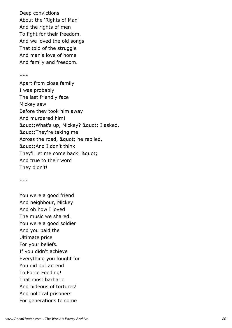Deep convictions About the 'Rights of Man' And the rights of men To fight for their freedom. And we loved the old songs That told of the struggle And man's love of home And family and freedom.

#### \*\*\*

Apart from close family I was probably The last friendly face Mickey saw Before they took him away And murdered him! & guot; What's up, Mickey? & guot; I asked. " They're taking me Across the road, " he replied, & quot; And I don't think They'll let me come back! " And true to their word They didn't!

#### \*\*\*

You were a good friend And neighbour, Mickey And oh how I loved The music we shared. You were a good soldier And you paid the Ultimate price For your beliefs. If you didn't achieve Everything you fought for You did put an end To Force Feeding! That most barbaric And hideous of tortures! And political prisoners For generations to come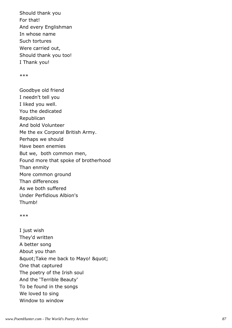Should thank you For that! And every Englishman In whose name Such tortures Were carried out, Should thank you too! I Thank you!

\*\*\*

Goodbye old friend I needn't tell you I liked you well. You the dedicated Republican And bold Volunteer Me the ex Corporal British Army. Perhaps we should Have been enemies But we, both common men, Found more that spoke of brotherhood Than enmity More common ground Than differences As we both suffered Under Perfidious Albion's Thumb!

\*\*\*

I just wish They'd written A better song About you than " Take me back to Mayo! " One that captured The poetry of the Irish soul And the 'Terrible Beauty' To be found in the songs We loved to sing Window to window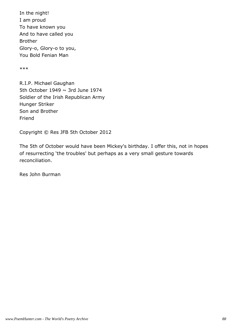In the night! I am proud To have known you And to have called you Brother Glory-o, Glory-o to you, You Bold Fenian Man

\*\*\*

R.I.P. Michael Gaughan 5th October 1949  $\sim$  3rd June 1974 Soldier of the Irish Republican Army Hunger Striker Son and Brother Friend

Copyright © Res JFB 5th October 2012

The 5th of October would have been Mickey's birthday. I offer this, not in hopes of resurrecting 'the troubles' but perhaps as a very small gesture towards reconciliation.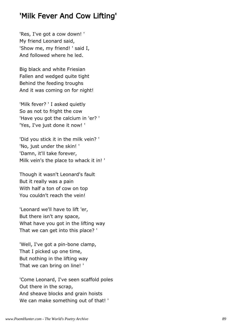### 'Milk Fever And Cow Lifting'

'Res, I've got a cow down! ' My friend Leonard said, 'Show me, my friend! ' said I, And followed where he led.

Big black and white Friesian Fallen and wedged quite tight Behind the feeding troughs And it was coming on for night!

'Milk fever? ' I asked quietly So as not to fright the cow 'Have you got the calcium in 'er? ' 'Yes, I've just done it now! '

'Did you stick it in the milk vein? ' 'No, just under the skin! ' 'Damn, it'll take forever, Milk vein's the place to whack it in! '

Though it wasn't Leonard's fault But it really was a pain With half a ton of cow on top You couldn't reach the vein!

'Leonard we'll have to lift 'er, But there isn't any space, What have you got in the lifting way That we can get into this place? '

'Well, I've got a pin-bone clamp, That I picked up one time, But nothing in the lifting way That we can bring on line! '

'Come Leonard, I've seen scaffold poles Out there in the scrap, And sheave blocks and grain hoists We can make something out of that! '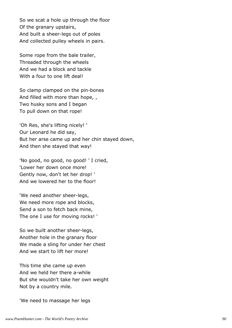So we scat a hole up through the floor Of the granary upstairs, And built a sheer-legs out of poles And collected pulley wheels in pairs.

Some rope from the bale trailer, Threaded through the wheels And we had a block and tackle With a four to one lift deal!

So clamp clamped on the pin-bones And filled with more than hope, , Two husky sons and I began To pull down on that rope!

'Oh Res, she's lifting nicely! ' Our Leonard he did say, But her arse came up and her chin stayed down, And then she stayed that way!

'No good, no good, no good! ' I cried, 'Lower her down once more! Gently now, don't let her drop! ' And we lowered her to the floor!

'We need another sheer-legs, We need more rope and blocks, Send a son to fetch back mine, The one I use for moving rocks! '

So we built another sheer-legs, Another hole in the granary floor We made a sling for under her chest And we start to lift her more!

This time she came up even And we held her there a-while But she wouldn't take her own weight Not by a country mile.

'We need to massage her legs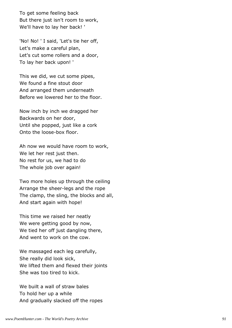To get some feeling back But there just isn't room to work, We'll have to lay her back! '

'No! No! ' I said, 'Let's tie her off, Let's make a careful plan, Let's cut some rollers and a door, To lay her back upon! '

This we did, we cut some pipes, We found a fine stout door And arranged them underneath Before we lowered her to the floor.

Now inch by inch we dragged her Backwards on her door, Until she popped, just like a cork Onto the loose-box floor.

Ah now we would have room to work, We let her rest just then. No rest for us, we had to do The whole job over again!

Two more holes up through the ceiling Arrange the sheer-legs and the rope The clamp, the sling, the blocks and all, And start again with hope!

This time we raised her neatly We were getting good by now, We tied her off just dangling there, And went to work on the cow.

We massaged each leg carefully, She really did look sick, We lifted them and flexed their joints She was too tired to kick.

We built a wall of straw bales To hold her up a while And gradually slacked off the ropes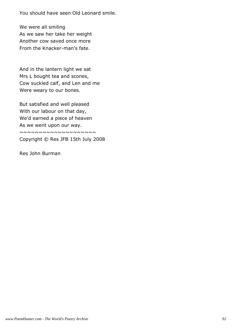You should have seen Old Leonard smile.

We were all smiling As we saw her take her weight Another cow saved once more From the Knacker-man's fate.

And in the lantern light we sat Mrs L bought tea and scones, Cow suckled calf, and Len and me Were weary to our bones.

But satisfied and well pleased With our labour on that day, We'd earned a piece of heaven As we went upon our way. ~~~~~~~~~~~~~~~~~~~~ Copyright © Res JFB 15th July 2008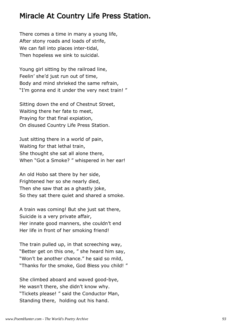### Miracle At Country Life Press Station.

There comes a time in many a young life, After stony roads and loads of strife, We can fall into places inter-tidal, Then hopeless we sink to suicidal.

Young girl sitting by the railroad line, Feelin' she'd just run out of time, Body and mind shrieked the same refrain, "I'm gonna end it under the very next train! "

Sitting down the end of Chestnut Street, Waiting there her fate to meet, Praying for that final expiation, On disused Country Life Press Station.

Just sitting there in a world of pain, Waiting for that lethal train, She thought she sat all alone there, When "Got a Smoke? " whispered in her ear!

An old Hobo sat there by her side, Frightened her so she nearly died, Then she saw that as a ghastly joke, So they sat there quiet and shared a smoke.

A train was coming! But she just sat there, Suicide is a very private affair, Her innate good manners, she couldn't end Her life in front of her smoking friend!

The train pulled up, in that screeching way, "Better get on this one, " she heard him say, "Won't be another chance." he said so mild, "Thanks for the smoke, God Bless you child! "

She climbed aboard and waved good-bye, He wasn't there, she didn't know why. "Tickets please! " said the Conductor Man, Standing there, holding out his hand.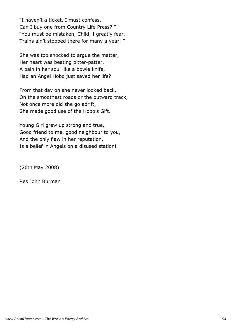"I haven't a ticket, I must confess, Can I buy one from Country Life Press? " "You must be mistaken, Child, I greatly fear. Trains ain't stopped there for many a year! "

She was too shocked to argue the matter, Her heart was beating pitter-patter, A pain in her soul like a bowie knife, Had an Angel Hobo just saved her life?

From that day on she never looked back, On the smoothest roads or the outward track, Not once more did she go adrift, She made good use of the Hobo's Gift.

Young Girl grew up strong and true, Good friend to me, good neighbour to you, And the only flaw in her reputation, Is a belief in Angels on a disused station!

(26th May 2008)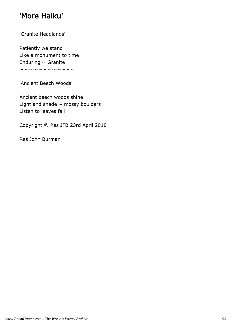# 'More Haiku'

'Granite Headlands'

Patiently we stand Like a monument to time Enduring  $\sim$  Granite  $~\sim~\sim~\sim~\sim~\sim~\sim~\sim~\sim$ 

'Ancient Beech Woods'

Ancient beech woods shine Light and shade  $\sim$  mossy boulders Listen to leaves fall

Copyright © Res JFB 23rd April 2010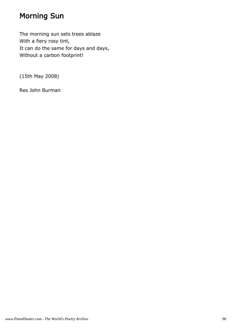# Morning Sun

The morning sun sets trees ablaze With a fiery rosy tint, It can do the same for days and days, Without a carbon footprint!

(15th May 2008)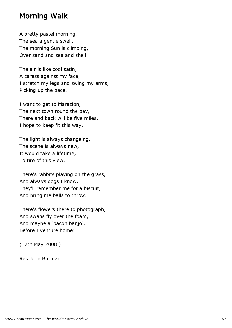### Morning Walk

A pretty pastel morning, The sea a gentle swell, The morning Sun is climbing, Over sand and sea and shell.

The air is like cool satin, A caress against my face, I stretch my legs and swing my arms, Picking up the pace.

I want to get to Marazion, The next town round the bay, There and back will be five miles, I hope to keep fit this way.

The light is always changeing, The scene is always new, It would take a lifetime, To tire of this view.

There's rabbits playing on the grass, And always dogs I know, They'll remember me for a biscuit, And bring me balls to throw.

There's flowers there to photograph, And swans fly over the foam, And maybe a 'bacon banjo', Before I venture home!

(12th May 2008.)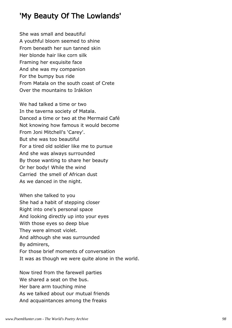# 'My Beauty Of The Lowlands'

She was small and beautiful A youthful bloom seemed to shine From beneath her sun tanned skin Her blonde hair like corn silk Framing her exquisite face And she was my companion For the bumpy bus ride From Matala on the south coast of Crete Over the mountains to Iráklion

We had talked a time or two In the taverna society of Matala. Danced a time or two at the Mermaid Café Not knowing how famous it would become From Joni Mitchell's 'Carey'. But she was too beautiful For a tired old soldier like me to pursue And she was always surrounded By those wanting to share her beauty Or her body! While the wind Carried the smell of African dust As we danced in the night.

When she talked to you She had a habit of stepping closer Right into one's personal space And looking directly up into your eyes With those eyes so deep blue They were almost violet. And although she was surrounded By admirers, For those brief moments of conversation It was as though we were quite alone in the world.

Now tired from the farewell parties We shared a seat on the bus. Her bare arm touching mine As we talked about our mutual friends And acquaintances among the freaks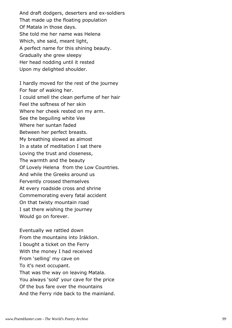And draft dodgers, deserters and ex-soldiers That made up the floating population Of Matala in those days. She told me her name was Helena Which, she said, meant light, A perfect name for this shining beauty. Gradually she grew sleepy Her head nodding until it rested Upon my delighted shoulder.

I hardly moved for the rest of the journey For fear of waking her. I could smell the clean perfume of her hair Feel the softness of her skin Where her cheek rested on my arm. See the beguiling white Vee Where her suntan faded Between her perfect breasts. My breathing slowed as almost In a state of meditation I sat there Loving the trust and closeness, The warmth and the beauty Of Lovely Helena from the Low Countries. And while the Greeks around us Fervently crossed themselves At every roadside cross and shrine Commemorating every fatal accident On that twisty mountain road I sat there wishing the journey Would go on forever.

Eventually we rattled down From the mountains into Iráklion. I bought a ticket on the Ferry With the money I had received From 'selling' my cave on To it's next occupant. That was the way on leaving Matala. You always 'sold' your cave for the price Of the bus fare over the mountains And the Ferry ride back to the mainland.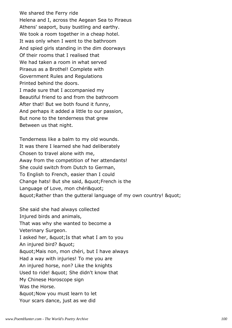We shared the Ferry ride Helena and I, across the Aegean Sea to Piraeus Athens' seaport, busy bustling and earthy. We took a room together in a cheap hotel. It was only when I went to the bathroom And spied girls standing in the dim doorways Of their rooms that I realised that We had taken a room in what served Piraeus as a Brothel! Complete with Government Rules and Regulations Printed behind the doors. I made sure that I accompanied my Beautiful friend to and from the bathroom After that! But we both found it funny, And perhaps it added a little to our passion, But none to the tenderness that grew Between us that night.

Tenderness like a balm to my old wounds. It was there I learned she had deliberately Chosen to travel alone with me, Away from the competition of her attendants! She could switch from Dutch to German, To English to French, easier than I could Change hats! But she said, " French is the Language of Love, mon chéri" " Rather than the gutteral language of my own country! "

She said she had always collected Injured birds and animals, That was why she wanted to become a Veterinary Surgeon. I asked her, " Is that what I am to you An injured bird? " & quot; Mais non, mon chéri, but I have always Had a way with injuries! To me you are An injured horse, non? Like the knights Used to ride! " She didn't know that My Chinese Horoscope sign Was the Horse. & quot; Now you must learn to let Your scars dance, just as we did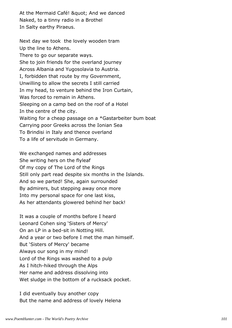At the Mermaid Café! & quot; And we danced Naked, to a tinny radio in a Brothel In Salty earthy Piraeus.

Next day we took the lovely wooden tram Up the line to Athens. There to go our separate ways. She to join friends for the overland journey Across Albania and Yugosolavia to Austria. I, forbidden that route by my Government, Unwilling to allow the secrets I still carried In my head, to venture behind the Iron Curtain, Was forced to remain in Athens. Sleeping on a camp bed on the roof of a Hotel In the centre of the city. Waiting for a cheap passage on a \*Gastarbeiter bum boat Carrying poor Greeks across the Ionian Sea To Brindisi in Italy and thence overland To a life of servitude in Germany.

We exchanged names and addresses She writing hers on the flyleaf Of my copy of The Lord of the Rings Still only part read despite six months in the Islands. And so we parted! She, again surrounded By admirers, but stepping away once more Into my personal space for one last kiss, As her attendants glowered behind her back!

It was a couple of months before I heard Leonard Cohen sing 'Sisters of Mercy' On an LP in a bed-sit in Notting Hill. And a year or two before I met the man himself. But 'Sisters of Mercy' became Always our song in my mind! Lord of the Rings was washed to a pulp As I hitch-hiked through the Alps Her name and address dissolving into Wet sludge in the bottom of a rucksack pocket.

I did eventually buy another copy But the name and address of lovely Helena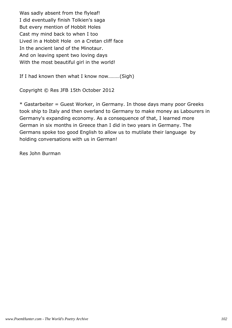Was sadly absent from the flyleaf! I did eventually finish Tolkien's saga But every mention of Hobbit Holes Cast my mind back to when I too Lived in a Hobbit Hole on a Cretan cliff face In the ancient land of the Minotaur. And on leaving spent two loving days With the most beautiful girl in the world!

If I had known then what I know now………(Sigh)

Copyright © Res JFB 15th October 2012

 $*$  Gastarbeiter = Guest Worker, in Germany. In those days many poor Greeks took ship to Italy and then overland to Germany to make money as Labourers in Germany's expanding economy. As a consequence of that, I learned more German in six months in Greece than I did in two years in Germany. The Germans spoke too good English to allow us to mutilate their language by holding conversations with us in German!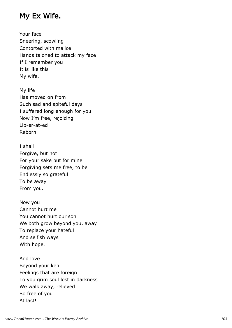# My Ex Wife.

Your face Sneering, scowling Contorted with malice Hands taloned to attack my face If I remember you It is like this My wife.

My life Has moved on from Such sad and spiteful days I suffered long enough for you Now I'm free, rejoicing Lib-er-at-ed Reborn

I shall Forgive, but not For your sake but for mine Forgiving sets me free, to be Endlessly so grateful To be away From you.

Now you Cannot hurt me You cannot hurt our son We both grow beyond you, away To replace your hateful And selfish ways With hope.

And love Beyond your ken Feelings that are foreign To you grim soul lost in darkness We walk away, relieved So free of you At last!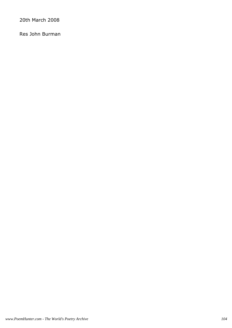20th March 2008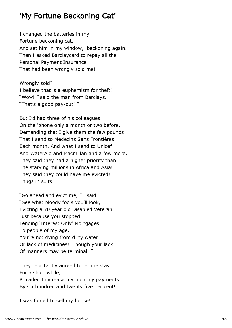# 'My Fortune Beckoning Cat'

I changed the batteries in my Fortune beckoning cat, And set him in my window, beckoning again. Then I asked Barclaycard to repay all the Personal Payment Insurance That had been wrongly sold me!

Wrongly sold? I believe that is a euphemism for theft! "Wow! " said the man from Barclays. "That's a good pay-out! "

But I'd had three of his colleagues On the 'phone only a month or two before. Demanding that I give them the few pounds That I send to Médecins Sans Frontiéres Each month. And what I send to Unicef And WaterAid and Macmillan and a few more. They said they had a higher priority than The starving millions in Africa and Asia! They said they could have me evicted! Thugs in suits!

"Go ahead and evict me, " I said. "See what bloody fools you'll look, Evicting a 70 year old Disabled Veteran Just because you stopped Lending 'Interest Only' Mortgages To people of my age. You're not dying from dirty water Or lack of medicines! Though your lack Of manners may be terminal! "

They reluctantly agreed to let me stay For a short while, Provided I increase my monthly payments By six hundred and twenty five per cent!

I was forced to sell my house!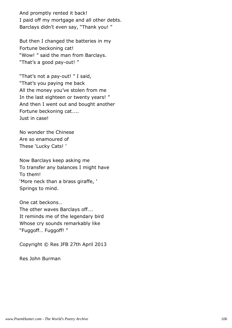And promptly rented it back! I paid off my mortgage and all other debts. Barclays didn't even say, "Thank you! "

But then I changed the batteries in my Fortune beckoning cat! "Wow! " said the man from Barclays. "That's a good pay-out! "

"That's not a pay-out! " I said, "That's you paying me back All the money you've stolen from me In the last eighteen or twenty years! " And then I went out and bought another Fortune beckoning cat….. Just in case!

No wonder the Chinese Are so enamoured of These 'Lucky Cats! '

Now Barclays keep asking me To transfer any balances I might have To them! 'More neck than a brass giraffe, ' Springs to mind.

One cat beckons… The other waves Barclays off…. It reminds me of the legendary bird Whose cry sounds remarkably like "Fuggoff… Fuggoff! "

Copyright © Res JFB 27th April 2013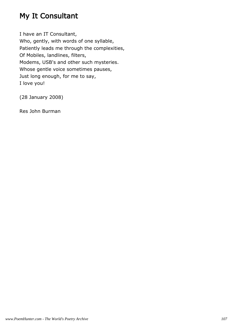# My It Consultant

I have an IT Consultant, Who, gently, with words of one syllable, Patiently leads me through the complexities, Of Mobiles, landlines, filters, Modems, USB's and other such mysteries. Whose gentle voice sometimes pauses, Just long enough, for me to say, I love you!

(28 January 2008)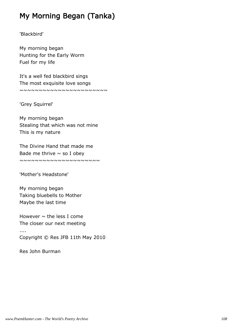# My Morning Began (Tanka)

#### 'Blackbird'

My morning began Hunting for the Early Worm Fuel for my life

It's a well fed blackbird sings The most exquisite love songs ~~~~~~~~~~~~~~~~~~~~~~~

'Grey Squirrel'

My morning began Stealing that which was not mine This is my nature

The Divine Hand that made me Bade me thrive  $\sim$  so I obey ~~~~~~~~~~~~~~~~~~~~~

'Mother's Headstone'

My morning began Taking bluebells to Mother Maybe the last time

However  $\sim$  the less I come The closer our next meeting ....

Copyright © Res JFB 11th May 2010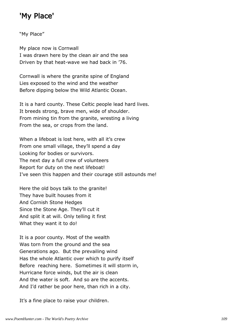## 'My Place'

"My Place"

My place now is Cornwall I was drawn here by the clean air and the sea Driven by that heat-wave we had back in '76.

Cornwall is where the granite spine of England Lies exposed to the wind and the weather Before dipping below the Wild Atlantic Ocean.

It is a hard county. These Celtic people lead hard lives. It breeds strong, brave men, wide of shoulder. From mining tin from the granite, wresting a living From the sea, or crops from the land.

When a lifeboat is lost here, with all it's crew From one small village, they'll spend a day Looking for bodies or survivors. The next day a full crew of volunteers Report for duty on the next lifeboat! I've seen this happen and their courage still astounds me!

Here the old boys talk to the granite! They have built houses from it And Cornish Stone Hedges Since the Stone Age. They'll cut it And split it at will. Only telling it first What they want it to do!

It is a poor county. Most of the wealth Was torn from the ground and the sea Generations ago. But the prevailing wind Has the whole Atlantic over which to purify itself Before reaching here. Sometimes it will storm in, Hurricane force winds, but the air is clean And the water is soft. And so are the accents. And I'd rather be poor here, than rich in a city.

It's a fine place to raise your children.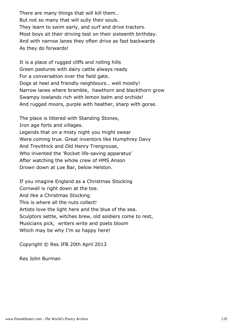There are many things that will kill them… But not so many that will sully their souls. They learn to swim early, and surf and drive tractors. Most boys sit their driving test on their sixteenth birthday. And with narrow lanes they often drive as fast backwards As they do forwards!

It is a place of rugged cliffs and rolling hills Green pastures with dairy cattle always ready For a conversation over the field gate. Dogs at heel and friendly neighbours… well mostly! Narrow lanes where bramble, hawthorn and blackthorn grow Swampy lowlands rich with lemon balm and orchids! And rugged moors, purple with heather, sharp with gorse.

The place is littered with Standing Stones, Iron age forts and villages. Legends that on a misty night you might swear Were coming true. Great inventors like Humphrey Davy And Trevithick and Old Henry Trengrouse, Who invented the 'Rocket life-saving apparatus' After watching the whole crew of HMS Anson Drown down at Loe Bar, below Helston.

If you imagine England as a Christmas Stocking Cornwall is right down at the toe. And like a Christmas Stocking This is where all the nuts collect! Artists love the light here and the blue of the sea. Sculptors settle, witches brew, old soldiers come to rest, Musicians pick, writers write and poets bloom Which may be why I'm so happy here!

Copyright © Res JFB 20th April 2013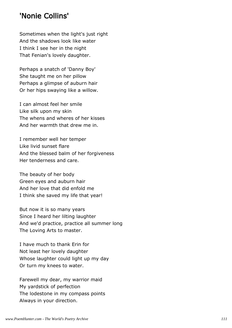#### 'Nonie Collins'

Sometimes when the light's just right And the shadows look like water I think I see her in the night That Fenian's lovely daughter.

Perhaps a snatch of 'Danny Boy' She taught me on her pillow Perhaps a glimpse of auburn hair Or her hips swaying like a willow.

I can almost feel her smile Like silk upon my skin The whens and wheres of her kisses And her warmth that drew me in.

I remember well her temper Like livid sunset flare And the blessed balm of her forgiveness Her tenderness and care.

The beauty of her body Green eyes and auburn hair And her love that did enfold me I think she saved my life that year!

But now it is so many years Since I heard her lilting laughter And we'd practice, practice all summer long The Loving Arts to master.

I have much to thank Erin for Not least her lovely daughter Whose laughter could light up my day Or turn my knees to water.

Farewell my dear, my warrior maid My yardstick of perfection The lodestone in my compass points Always in your direction.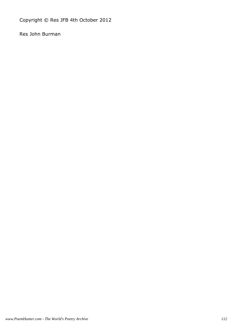Copyright © Res JFB 4th October 2012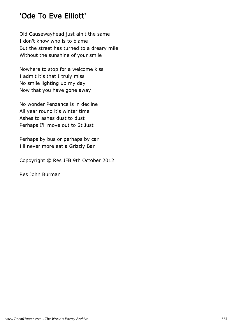# 'Ode To Eve Elliott'

Old Causewayhead just ain't the same I don't know who is to blame But the street has turned to a dreary mile Without the sunshine of your smile

Nowhere to stop for a welcome kiss I admit it's that I truly miss No smile lighting up my day Now that you have gone away

No wonder Penzance is in decline All year round it's winter time Ashes to ashes dust to dust Perhaps I'll move out to St Just

Perhaps by bus or perhaps by car I'll never more eat a Grizzly Bar

Copoyright © Res JFB 9th October 2012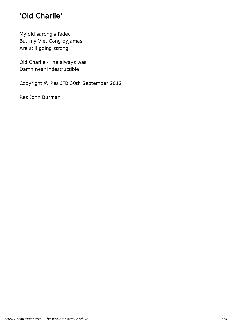# 'Old Charlie'

My old sarong's faded But my Viet Cong pyjamas Are still going strong

Old Charlie  $\sim$  he always was Damn near indestructible

Copyright © Res JFB 30th September 2012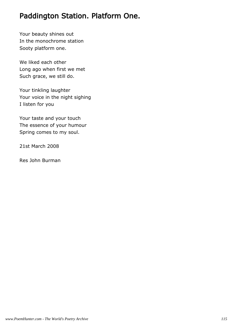## Paddington Station. Platform One.

Your beauty shines out In the monochrome station Sooty platform one.

We liked each other Long ago when first we met Such grace, we still do.

Your tinkling laughter Your voice in the night sighing I listen for you

Your taste and your touch The essence of your humour Spring comes to my soul.

21st March 2008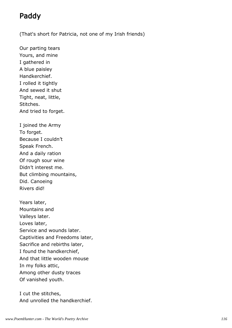# Paddy

(That's short for Patricia, not one of my Irish friends)

Our parting tears Yours, and mine I gathered in A blue paisley Handkerchief. I rolled it tightly And sewed it shut Tight, neat, little, Stitches. And tried to forget.

I joined the Army To forget. Because I couldn't Speak French. And a daily ration Of rough sour wine Didn't interest me. But climbing mountains, Did. Canoeing Rivers did!

Years later, Mountains and Valleys later. Loves later, Service and wounds later. Captivities and Freedoms later, Sacrifice and rebirths later, I found the handkerchief, And that little wooden mouse In my folks attic, Among other dusty traces Of vanished youth.

I cut the stitches, And unrolled the handkerchief.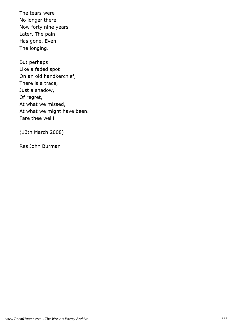The tears were No longer there. Now forty nine years Later. The pain Has gone. Even The longing.

But perhaps Like a faded spot On an old handkerchief, There is a trace, Just a shadow, Of regret, At what we missed, At what we might have been. Fare thee well!

(13th March 2008)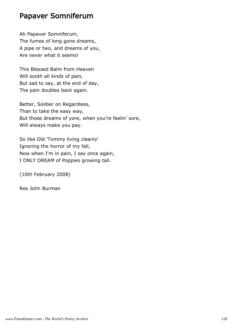#### Papaver Somniferum

Ah Papaver Somniferum, The fumes of long gone dreams, A pipe or two, and dreams of you, Are never what it seems!

This Blessed Balm from Heaven Will sooth all kinds of pain, But sad to say, at the end of day, The pain doubles back again.

Better, Soldier on Regardless, Than to take the easy way, But those dreams of yore, when you're feelin' sore, Will always make you pay.

So like Old 'Tommy living cleanly' Ignoring the horror of my fall, Now when I'm in pain, I say once again, I ONLY DREAM of Poppies growing tall.

(10th February 2008)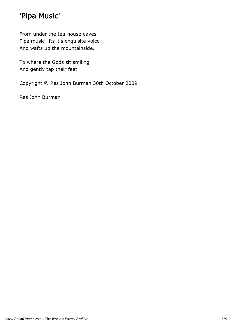# 'Pipa Music'

From under the tea-house eaves Pipa music lifts it's exquisite voice And wafts up the mountainside.

To where the Gods sit smiling And gently tap their feet!

Copyright © Res John Burman 30th October 2009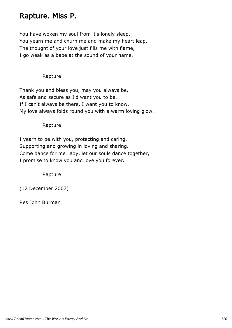#### Rapture. Miss P.

You have woken my soul from it's lonely sleep, You yearn me and churn me and make my heart leap. The thought of your love just fills me with flame, I go weak as a babe at the sound of your name.

#### Rapture

Thank you and bless you, may you always be, As safe and secure as I'd want you to be. If I can't always be there, I want you to know, My love always folds round you with a warm loving glow.

#### Rapture

I yearn to be with you, protecting and caring, Supporting and growing in loving and sharing. Come dance for me Lady, let our souls dance together, I promise to know you and love you forever.

Rapture

(12 December 2007)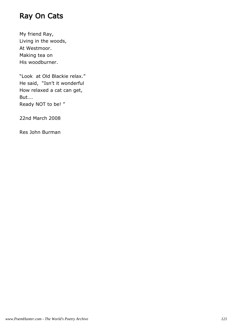# Ray On Cats

My friend Ray, Living in the woods, At Westmoor. Making tea on His woodburner.

"Look at Old Blackie relax." He said, "Isn't it wonderful How relaxed a cat can get, But…. Ready NOT to be! "

22nd March 2008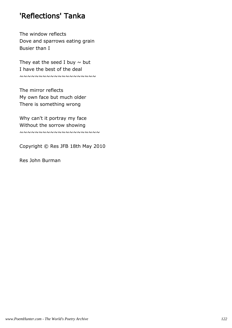## 'Reflections' Tanka

The window reflects Dove and sparrows eating grain Busier than I

They eat the seed I buy  $\sim$  but I have the best of the deal ~~~~~~~~~~~~~~~~~~~~

The mirror reflects My own face but much older There is something wrong

Why can't it portray my face Without the sorrow showing ~~~~~~~~~~~~~~~~~~~~~

Copyright © Res JFB 18th May 2010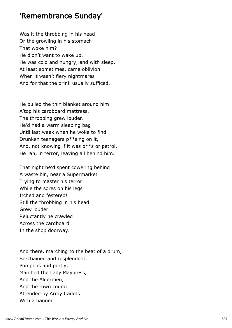## 'Remembrance Sunday'

Was it the throbbing in his head Or the growling in his stomach That woke him? He didn't want to wake up. He was cold and hungry, and with sleep, At least sometimes, came oblivion. When it wasn't fiery nightmares And for that the drink usually sufficed.

He pulled the thin blanket around him A'top his cardboard mattress. The throbbing grew louder. He'd had a warm sleeping bag Until last week when he woke to find Drunken teenagers p\*\*sing on it, And, not knowing if it was p\*\*s or petrol, He ran, in terror, leaving all behind him.

That night he'd spent cowering behind A waste bin, near a Supermarket Trying to master his terror While the sores on his legs Itched and festered! Still the throbbing in his head Grew louder. Reluctantly he crawled Across the cardboard In the shop doorway.

And there, marching to the beat of a drum, Be-chained and resplendent, Pompous and portly, Marched the Lady Mayoress, And the Aldermen, And the town council Attended by Army Cadets With a banner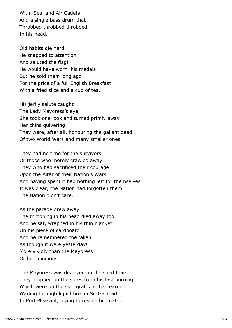With Sea and Air Cadets And a single bass drum that Throbbed throbbed throbbed In his head.

Old habits die hard. He snapped to attention And saluted the flag! He would have worn his medals But he sold them long ago For the price of a full English Breakfast With a fried slice and a cup of tea.

His jerky salute caught The Lady Mayoress's eye, She took one look and turned primly away Her chins quivering! They were, after all, honouring the gallant dead Of two World Wars and many smaller ones.

They had no time for the survivors Or those who merely crawled away. They who had sacrificed their courage Upon the Altar of their Nation's Wars. And having spent it had nothing left for themselves It was clear, the Nation had forgotten them The Nation didn't care.

As the parade drew away The throbbing in his head died away too. And he sat, wrapped in his thin blanket On his piece of cardboard And he remembered the fallen. As though it were yesterday! More vividly than the Mayoress Or her minnions.

The Mayoress was dry eyed but he shed tears They dropped on the sores from his last burning Which were on the skin grafts he had earned Wading through liquid fire on Sir Galahad In Port Pleasant, trying to rescue his mates.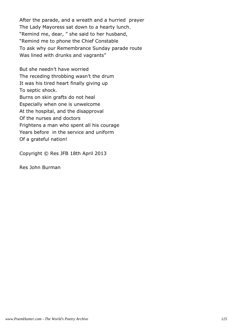After the parade, and a wreath and a hurried prayer The Lady Mayoress sat down to a hearty lunch. "Remind me, dear, " she said to her husband, "Remind me to phone the Chief Constable To ask why our Remembrance Sunday parade route Was lined with drunks and vagrants"

But she needn't have worried The receding throbbing wasn't the drum It was his tired heart finally giving up To septic shock. Burns on skin grafts do not heal Especially when one is unwelcome At the hospital, and the disapproval Of the nurses and doctors Frightens a man who spent all his courage Years before in the service and uniform Of a grateful nation!

Copyright © Res JFB 18th April 2013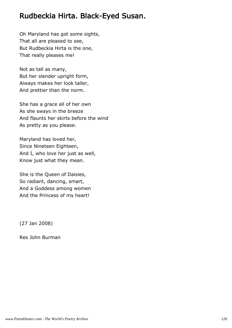## Rudbeckia Hirta. Black-Eyed Susan.

Oh Maryland has got some sights, That all are pleased to see, But Rudbeckia Hirta is the one, That really pleases me!

Not as tall as many, But her slender upright form, Always makes her look taller, And prettier than the norm.

She has a grace all of her own As she sways in the breeze And flaunts her skirts before the wind As pretty as you please.

Maryland has loved her, Since Nineteen Eighteen, And I, who love her just as well, Know just what they mean.

She is the Queen of Daisies, So radiant, dancing, smart, And a Goddess among women And the Princess of my heart!

(27 Jan 2008)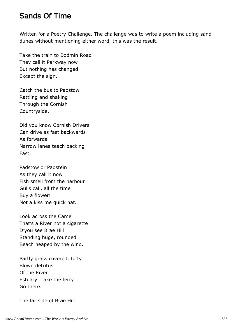## Sands Of Time

Written for a Poetry Challenge. The challenge was to write a poem including sand dunes without mentioning either word, this was the result.

Take the train to Bodmin Road They call it Parkway now But nothing has changed Except the sign.

Catch the bus to Padstow Rattling and shaking Through the Cornish Countryside.

Did you know Cornish Drivers Can drive as fast backwards As forwards Narrow lanes teach backing Fast.

Padstow or Padstein As they call it now Fish smell from the harbour Gulls call, all the time Buy a flower! Not a kiss me quick hat.

Look across the Camel That's a River not a cigarette D'you see Brae Hill Standing huge, rounded Beach heaped by the wind.

Partly grass covered, tufty Blown detritus Of the River Estuary. Take the ferry Go there.

The far side of Brae Hill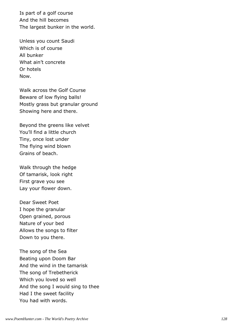Is part of a golf course And the hill becomes The largest bunker in the world.

Unless you count Saudi Which is of course All bunker What ain't concrete Or hotels Now.

Walk across the Golf Course Beware of low flying balls! Mostly grass but granular ground Showing here and there.

Beyond the greens like velvet You'll find a little church Tiny, once lost under The flying wind blown Grains of beach.

Walk through the hedge Of tamarisk, look right First grave you see Lay your flower down.

Dear Sweet Poet I hope the granular Open grained, porous Nature of your bed Allows the songs to filter Down to you there.

The song of the Sea Beating upon Doom Bar And the wind in the tamarisk The song of Trebetherick Which you loved so well And the song I would sing to thee Had I the sweet facility You had with words.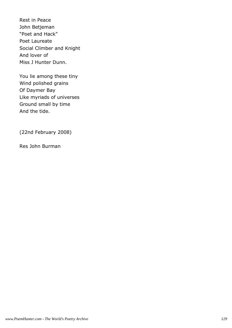Rest in Peace John Betjeman "Poet and Hack" Poet Laureate Social Climber and Knight And lover of Miss J Hunter Dunn.

You lie among these tiny Wind polished grains Of Daymer Bay Like myriads of universes Ground small by time And the tide.

(22nd February 2008)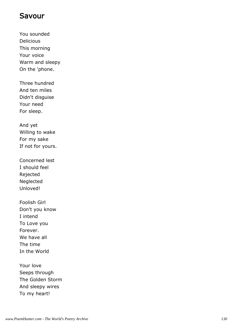#### Savour

You sounded Delicious This morning Your voice Warm and sleepy On the 'phone.

Three hundred And ten miles Didn't disguise Your need For sleep.

And yet Willing to wake For my sake If not for yours.

Concerned lest I should feel Rejected Neglected Unloved!

Foolish Girl Don't you know I intend To Love you Forever. We have all The time In the World

Your love Seeps through The Golden Storm And sleepy wires To my heart!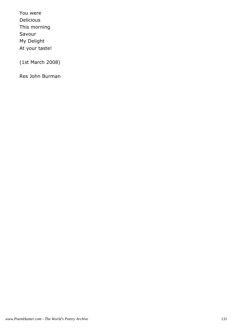You were Delicious This morning Savour My Delight At your taste!

(1st March 2008)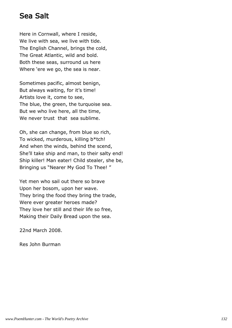## Sea Salt

Here in Cornwall, where I reside, We live with sea, we live with tide. The English Channel, brings the cold, The Great Atlantic, wild and bold. Both these seas, surround us here Where 'ere we go, the sea is near.

Sometimes pacific, almost benign, But always waiting, for it's time! Artists love it, come to see, The blue, the green, the turquoise sea. But we who live here, all the time, We never trust that sea sublime.

Oh, she can change, from blue so rich, To wicked, murderous, killing b\*tch! And when the winds, behind the scend, She'll take ship and man, to their salty end! Ship killer! Man eater! Child stealer, she be, Bringing us "Nearer My God To Thee! "

Yet men who sail out there so brave Upon her bosom, upon her wave. They bring the food they bring the trade, Were ever greater heroes made? They love her still and their life so free, Making their Daily Bread upon the sea.

22nd March 2008.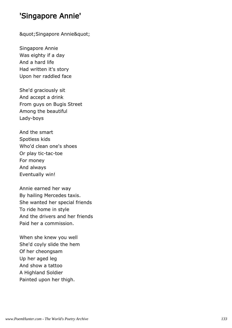#### 'Singapore Annie'

" Singapore Annie "

Singapore Annie Was eighty if a day And a hard life Had written it's story Upon her raddled face

She'd graciously sit And accept a drink From guys on Bugis Street Among the beautiful Lady-boys

And the smart Spotless kids Who'd clean one's shoes Or play tic-tac-toe For money And always Eventually win!

Annie earned her way By hailing Mercedes taxis. She wanted her special friends To ride home in style And the drivers and her friends Paid her a commission.

When she knew you well She'd coyly slide the hem Of her cheongsam Up her aged leg And show a tattoo A Highland Soldier Painted upon her thigh.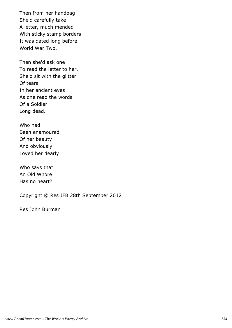Then from her handbag She'd carefully take A letter, much mended With sticky stamp borders It was dated long before World War Two.

Then she'd ask one To read the letter to her. She'd sit with the glitter Of tears In her ancient eyes As one read the words Of a Soldier Long dead.

Who had Been enamoured Of her beauty And obviously Loved her dearly

Who says that An Old Whore Has no heart?

Copyright © Res JFB 28th September 2012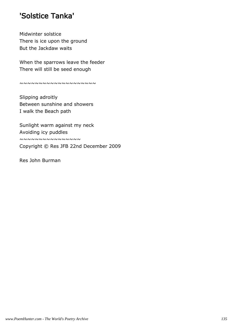### 'Solstice Tanka'

Midwinter solstice There is ice upon the ground But the Jackdaw waits

When the sparrows leave the feeder There will still be seed enough

~~~~~~~~~~~~~~~~~~~~

Slipping adroitly Between sunshine and showers I walk the Beach path

Sunlight warm against my neck Avoiding icy puddles  $~\sim~\sim~\sim~\sim~\sim~\sim~\sim~\sim~\sim~\sim~\sim$ Copyright © Res JFB 22nd December 2009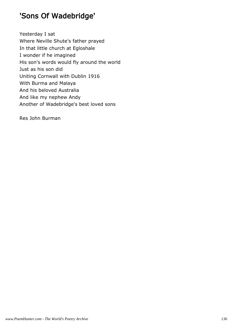# 'Sons Of Wadebridge'

Yesterday I sat Where Neville Shute's father prayed In that little church at Egloshale I wonder if he imagined His son's words would fly around the world Just as his son did Uniting Cornwall with Dublin 1916 With Burma and Malaya And his beloved Australia And like my nephew Andy Another of Wadebridge's best loved sons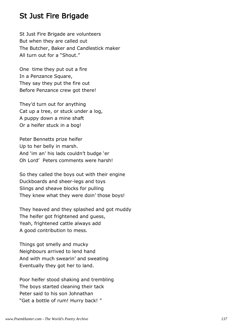### St Just Fire Brigade

St Just Fire Brigade are volunteers But when they are called out The Butcher, Baker and Candlestick maker All turn out for a "Shout."

One time they put out a fire In a Penzance Square, They say they put the fire out Before Penzance crew got there!

They'd turn out for anything Cat up a tree, or stuck under a log, A puppy down a mine shaft Or a heifer stuck in a bog!

Peter Bennetts prize heifer Up to her belly in marsh. And 'im an' his lads couldn't budge 'er Oh Lord' Peters comments were harsh!

So they called the boys out with their engine Duckboards and sheer-legs and toys Slings and sheave blocks for pulling They knew what they were doin' those boys!

They heaved and they splashed and got muddy The heifer got frightened and guess, Yeah, frightened cattle always add A good contribution to mess.

Things got smelly and mucky Neighbours arrived to lend hand And with much swearin' and sweating Eventually they got her to land.

Poor heifer stood shaking and trembling The boys started cleaning their tack Peter said to his son Johnathan "Get a bottle of rum! Hurry back! "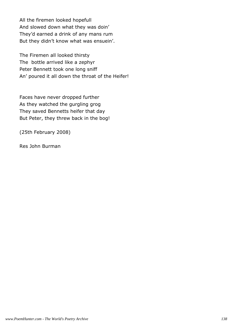All the firemen looked hopefull And slowed down what they was doin' They'd earned a drink of any mans rum But they didn't know what was ensuein'.

The Firemen all looked thirsty The bottle arrived like a zephyr Peter Bennett took one long sniff An' poured it all down the throat of the Heifer!

Faces have never dropped further As they watched the gurgling grog They saved Bennetts heifer that day But Peter, they threw back in the bog!

(25th February 2008)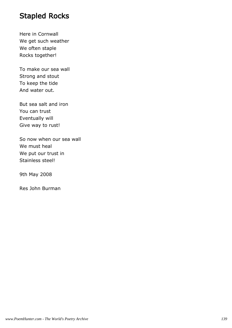## Stapled Rocks

Here in Cornwall We get such weather We often staple Rocks together!

To make our sea wall Strong and stout To keep the tide And water out.

But sea salt and iron You can trust Eventually will Give way to rust!

So now when our sea wall We must heal We put our trust in Stainless steel!

9th May 2008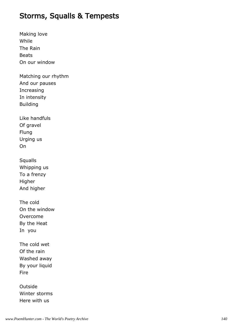### Storms, Squalls & Tempests

Making love While The Rain Beats On our window Matching our rhythm And our pauses Increasing In intensity Building Like handfuls Of gravel Flung Urging us On **Squalls** Whipping us To a frenzy Higher And higher The cold On the window Overcome By the Heat In you The cold wet Of the rain Washed away By your liquid Fire Outside Winter storms

Here with us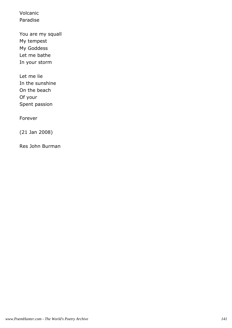Volcanic Paradise

You are my squall My tempest My Goddess Let me bathe In your storm

Let me lie In the sunshine On the beach Of your Spent passion

Forever

(21 Jan 2008)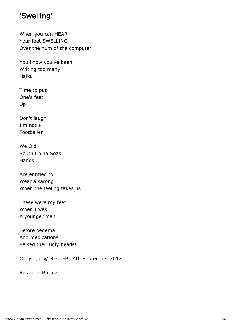## 'Swelling'

When you can HEAR Your feet SWELLING Over the hum of the computer

You know you've been Writing too many Haiku

Time to put One's feet Up

Don't laugh I'm not a Footballer

We Old South China Seas Hands

Are entitled to Wear a sarong When the feeling takes us

These were my feet When I was A younger man

Before oedema And medications Raised their ugly heads!

Copyright © Res JFB 24th September 2012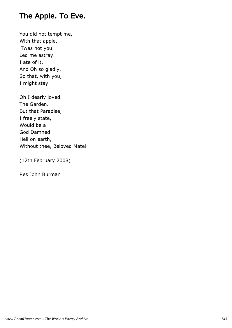## The Apple. To Eve.

You did not tempt me, With that apple, 'Twas not you. Led me astray. I ate of it, And Oh so gladly, So that, with you, I might stay!

Oh I dearly loved The Garden. But that Paradise, I freely state, Would be a God Damned Hell on earth, Without thee, Beloved Mate!

(12th February 2008)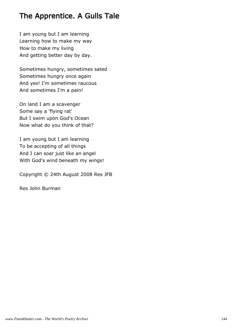## The Apprentice. A Gulls Tale

I am young but I am learning Learning how to make my way How to make my living And getting better day by day.

Sometimes hungry, sometimes sated Sometimes hungry once again And yes! I'm sometimes raucous And sometimes I'm a pain!

On land I am a scavenger Some say a 'flying rat' But I swim upon God's Ocean Now what do you think of that?

I am young but I am learning To be accepting of all things And I can soar just like an angel With God's wind beneath my wings!

Copyright © 24th August 2008 Res JFB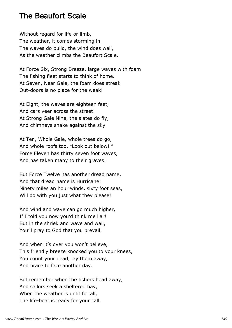#### The Beaufort Scale

Without regard for life or limb, The weather, it comes storming in. The waves do build, the wind does wail, As the weather climbs the Beaufort Scale.

At Force Six, Strong Breeze, large waves with foam The fishing fleet starts to think of home. At Seven, Near Gale, the foam does streak Out-doors is no place for the weak!

At Eight, the waves are eighteen feet, And cars veer across the street! At Strong Gale Nine, the slates do fly, And chimneys shake against the sky.

At Ten, Whole Gale, whole trees do go, And whole roofs too, "Look out below! " Force Eleven has thirty seven foot waves, And has taken many to their graves!

But Force Twelve has another dread name, And that dread name is Hurricane! Ninety miles an hour winds, sixty foot seas, Will do with you just what they please!

And wind and wave can go much higher, If I told you now you'd think me liar! But in the shriek and wave and wail, You'll pray to God that you prevail!

And when it's over you won't believe, This friendly breeze knocked you to your knees, You count your dead, lay them away, And brace to face another day.

But remember when the fishers head away, And sailors seek a sheltered bay, When the weather is unfit for all, The life-boat is ready for your call.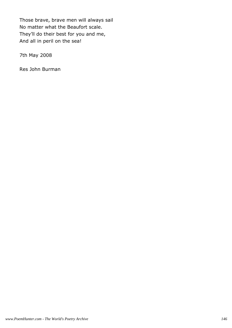Those brave, brave men will always sail No matter what the Beaufort scale. They'll do their best for you and me, And all in peril on the sea!

7th May 2008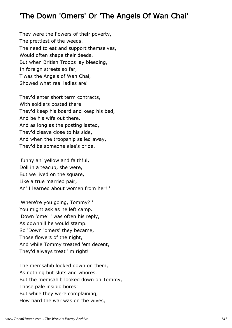## 'The Down 'Omers' Or 'The Angels Of Wan Chai'

They were the flowers of their poverty, The prettiest of the weeds. The need to eat and support themselves, Would often shape their deeds. But when British Troops lay bleeding, In foreign streets so far, T'was the Angels of Wan Chai, Showed what real ladies are!

They'd enter short term contracts, With soldiers posted there. They'd keep his board and keep his bed, And be his wife out there. And as long as the posting lasted, They'd cleave close to his side, And when the troopship sailed away, They'd be someone else's bride.

'funny an' yellow and faithful, Doll in a teacup, she were, But we lived on the square, Like a true married pair, An' I learned about women from her! '

'Where're you going, Tommy? ' You might ask as he left camp. 'Down 'ome! ' was often his reply, As downhill he would stamp. So 'Down 'omers' they became, Those flowers of the night, And while Tommy treated 'em decent, They'd always treat 'im right!

The memsahib looked down on them, As nothing but sluts and whores. But the memsahib looked down on Tommy, Those pale insipid bores! But while they were complaining, How hard the war was on the wives,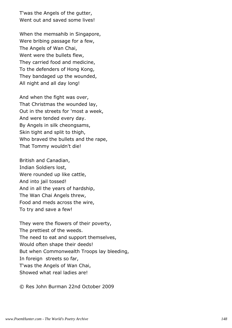T'was the Angels of the gutter, Went out and saved some lives!

When the memsahib in Singapore, Were bribing passage for a few, The Angels of Wan Chai, Went were the bullets flew, They carried food and medicine, To the defenders of Hong Kong, They bandaged up the wounded, All night and all day long!

And when the fight was over, That Christmas the wounded lay, Out in the streets for 'most a week, And were tended every day. By Angels in silk cheongsams, Skin tight and split to thigh, Who braved the bullets and the rape, That Tommy wouldn't die!

British and Canadian, Indian Soldiers lost, Were rounded up like cattle, And into jail tossed! And in all the years of hardship, The Wan Chai Angels threw, Food and meds across the wire, To try and save a few!

They were the flowers of their poverty, The prettiest of the weeds. The need to eat and support themselves, Would often shape their deeds! But when Commonwealth Troops lay bleeding, In foreign streets so far, T'was the Angels of Wan Chai, Showed what real ladies are!

© Res John Burman 22nd October 2009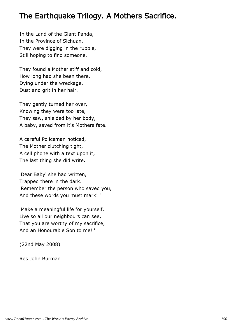## The Earthquake Trilogy. A Mothers Sacrifice.

In the Land of the Giant Panda, In the Province of Sichuan, They were digging in the rubble, Still hoping to find someone.

They found a Mother stiff and cold, How long had she been there, Dying under the wreckage, Dust and grit in her hair.

They gently turned her over, Knowing they were too late, They saw, shielded by her body, A baby, saved from it's Mothers fate.

A careful Policeman noticed, The Mother clutching tight, A cell phone with a text upon it, The last thing she did write.

'Dear Baby' she had written, Trapped there in the dark. 'Remember the person who saved you, And these words you must mark! '

'Make a meaningful life for yourself, Live so all our neighbours can see, That you are worthy of my sacrifice, And an Honourable Son to me! '

(22nd May 2008)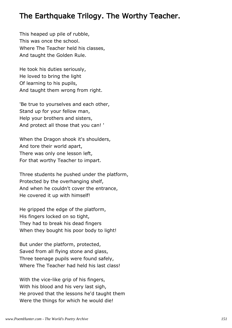## The Earthquake Trilogy. The Worthy Teacher.

This heaped up pile of rubble, This was once the school. Where The Teacher held his classes, And taught the Golden Rule.

He took his duties seriously, He loved to bring the light Of learning to his pupils, And taught them wrong from right.

'Be true to yourselves and each other, Stand up for your fellow man, Help your brothers and sisters, And protect all those that you can! '

When the Dragon shook it's shoulders, And tore their world apart, There was only one lesson left, For that worthy Teacher to impart.

Three students he pushed under the platform, Protected by the overhanging shelf, And when he couldn't cover the entrance, He covered it up with himself!

He gripped the edge of the platform, His fingers locked on so tight, They had to break his dead fingers When they bought his poor body to light!

But under the platform, protected, Saved from all flying stone and glass, Three teenage pupils were found safely, Where The Teacher had held his last class!

With the vice-like grip of his fingers, With his blood and his very last sigh, He proved that the lessons he'd taught them Were the things for which he would die!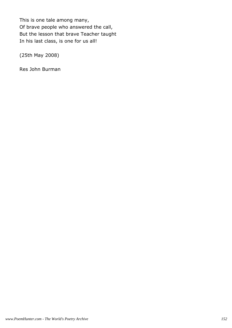This is one tale among many, Of brave people who answered the call, But the lesson that brave Teacher taught In his last class, is one for us all!

(25th May 2008)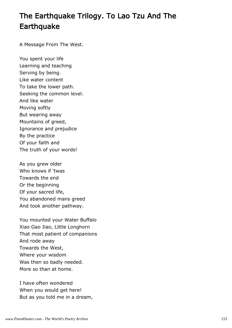# The Earthquake Trilogy. To Lao Tzu And The **Earthquake**

A Message From The West.

You spent your life Learning and teaching Serving by being. Like water content To take the lower path. Seeking the common level. And like water Moving softly But wearing away Mountains of greed, Ignorance and prejudice By the practice Of your faith and The truth of your words!

As you grew older Who knows if 'twas Towards the end Or the beginning Of your sacred life, You abandoned mans greed And took another pathway.

You mounted your Water Buffalo Xiao Gao Jiao, Little Longhorn That most patient of companions And rode away Towards the West, Where your wisdom Was then so badly needed. More so than at home.

I have often wondered When you would get here! But as you told me in a dream,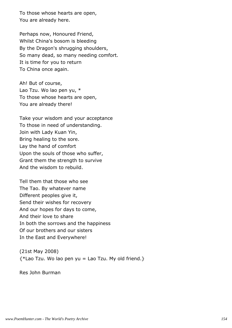To those whose hearts are open, You are already here.

Perhaps now, Honoured Friend, Whilst China's bosom is bleeding By the Dragon's shrugging shoulders, So many dead, so many needing comfort. It is time for you to return To China once again.

Ah! But of course, Lao Tzu. Wo lao pen yu, \* To those whose hearts are open, You are already there!

Take your wisdom and your acceptance To those in need of understanding. Join with Lady Kuan Yin, Bring healing to the sore. Lay the hand of comfort Upon the souls of those who suffer, Grant them the strength to survive And the wisdom to rebuild.

Tell them that those who see The Tao. By whatever name Different peoples give it, Send their wishes for recovery And our hopes for days to come, And their love to share In both the sorrows and the happiness Of our brothers and our sisters In the East and Everywhere!

(21st May 2008)  $\{\ast$ Lao Tzu. Wo lao pen yu = Lao Tzu. My old friend.}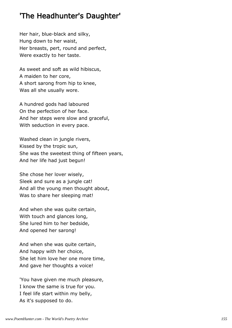## 'The Headhunter's Daughter'

Her hair, blue-black and silky, Hung down to her waist, Her breasts, pert, round and perfect, Were exactly to her taste.

As sweet and soft as wild hibiscus, A maiden to her core, A short sarong from hip to knee, Was all she usually wore.

A hundred gods had laboured On the perfection of her face. And her steps were slow and graceful, With seduction in every pace.

Washed clean in jungle rivers, Kissed by the tropic sun, She was the sweetest thing of fifteen years, And her life had just begun!

She chose her lover wisely, Sleek and sure as a jungle cat! And all the young men thought about, Was to share her sleeping mat!

And when she was quite certain, With touch and glances long, She lured him to her bedside, And opened her sarong!

And when she was quite certain, And happy with her choice, She let him love her one more time, And gave her thoughts a voice!

'You have given me much pleasure, I know the same is true for you. I feel life start within my belly, As it's supposed to do.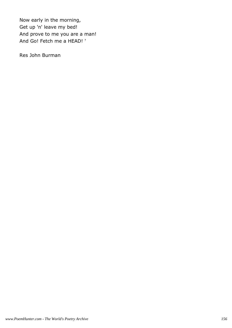Now early in the morning, Get up 'n' leave my bed! And prove to me you are a man! And Go! Fetch me a HEAD! '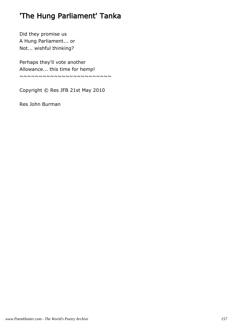# 'The Hung Parliament' Tanka

Did they promise us A Hung Parliament... or Not... wishful thinking?

Perhaps they'll vote another Allowance... this time for hemp! ~~~~~~~~~~~~~~~~~~~~~~~~

Copyright © Res JFB 21st May 2010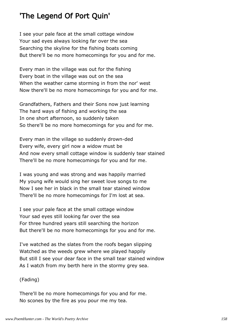## 'The Legend Of Port Quin'

I see your pale face at the small cottage window Your sad eyes always looking far over the sea Searching the skyline for the fishing boats coming But there'll be no more homecomings for you and for me.

Every man in the village was out for the fishing Every boat in the village was out on the sea When the weather came storming in from the nor' west Now there'll be no more homecomings for you and for me.

Grandfathers, Fathers and their Sons now just learning The hard ways of fishing and working the sea In one short afternoon, so suddenly taken So there'll be no more homecomings for you and for me.

Every man in the village so suddenly drown-ded Every wife, every girl now a widow must be And now every small cottage window is suddenly tear stained There'll be no more homecomings for you and for me.

I was young and was strong and was happily married My young wife would sing her sweet love songs to me Now I see her in black in the small tear stained window There'll be no more homecomings for I'm lost at sea.

I see your pale face at the small cottage window Your sad eyes still looking far over the sea For three hundred years still searching the horizon But there'll be no more homecomings for you and for me.

I've watched as the slates from the roofs began slipping Watched as the weeds grew where we played happily But still I see your dear face in the small tear stained window As I watch from my berth here in the stormy grey sea.

#### (Fading)

There'll be no more homecomings for you and for me. No scones by the fire as you pour me my tea.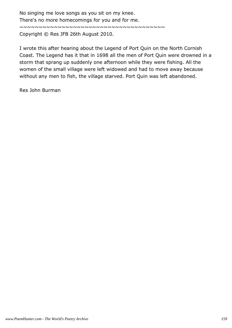No singing me love songs as you sit on my knee. There's no more homecomings for you and for me. ~~~~~~~~~~~~~~~~~~~~~~~~~~~~~~~~~~~~~~ Copyright © Res JFB 26th August 2010.

I wrote this after hearing about the Legend of Port Quin on the North Cornish Coast. The Legend has it that in 1698 all the men of Port Quin were drowned in a storm that sprang up suddenly one afternoon while they were fishing. All the women of the small village were left widowed and had to move away because without any men to fish, the village starved. Port Quin was left abandoned.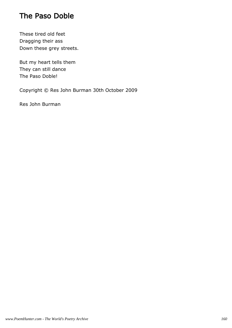## The Paso Doble

These tired old feet Dragging their ass Down these grey streets.

But my heart tells them They can still dance The Paso Doble!

Copyright © Res John Burman 30th October 2009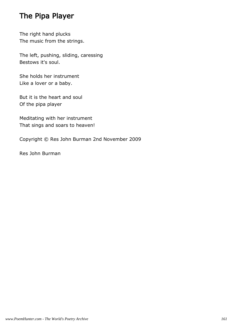## The Pipa Player

The right hand plucks The music from the strings.

The left, pushing, sliding, caressing Bestows it's soul.

She holds her instrument Like a lover or a baby.

But it is the heart and soul Of the pipa player

Meditating with her instrument That sings and soars to heaven!

Copyright © Res John Burman 2nd November 2009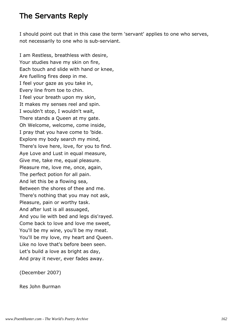#### The Servants Reply

I should point out that in this case the term 'servant' applies to one who serves, not necessarily to one who is sub-serviant.

I am Restless, breathless with desire, Your studies have my skin on fire, Each touch and slide with hand or knee, Are fuelling fires deep in me. I feel your gaze as you take in, Every line from toe to chin. I feel your breath upon my skin, It makes my senses reel and spin. I wouldn't stop, I wouldn't wait, There stands a Queen at my gate. Oh Welcome, welcome, come inside, I pray that you have come to 'bide. Explore my body search my mind, There's love here, love, for you to find. Aye Love and Lust in equal measure, Give me, take me, equal pleasure. Pleasure me, love me, once, again, The perfect potion for all pain. And let this be a flowing sea, Between the shores of thee and me. There's nothing that you may not ask, Pleasure, pain or worthy task. And after lust is all assuaged, And you lie with bed and legs dis'rayed. Come back to love and love me sweet, You'll be my wine, you'll be my meat. You'll be my love, my heart and Queen. Like no love that's before been seen. Let's build a love as bright as day, And pray it never, ever fades away.

(December 2007)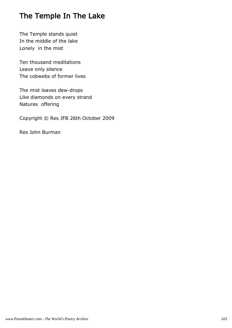## The Temple In The Lake

The Temple stands quiet In the middle of the lake Lonely in the mist

Ten thousand meditations Leave only silence The cobwebs of former lives

The mist leaves dew-drops Like diamonds on every strand Natures offering

Copyright © Res JFB 26th October 2009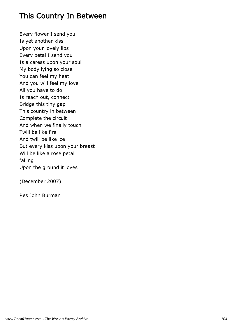## This Country In Between

Every flower I send you Is yet another kiss Upon your lovely lips Every petal I send you Is a caress upon your soul My body lying so close You can feel my heat And you will feel my love All you have to do Is reach out, connect Bridge this tiny gap This country in between Complete the circuit And when we finally touch Twill be like fire And twill be like ice But every kiss upon your breast Will be like a rose petal falling Upon the ground it loves

(December 2007)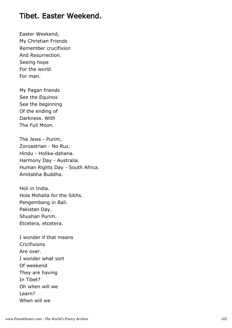#### Tibet. Easter Weekend.

Easter Weekend, My Christian Friends Remember crucifixion And Resurrection. Seeing hope For the world. For man.

My Pagan friends See the Equinox See the beginning Of the ending of Darkness. With The Full Moon.

The Jews - Purim, Zoroastrian - No Ruz. Hindu - Holika-dahana. Harmony Day - Australia. Human Rights Day - South Africa. Amitabha Buddha.

Holi in India. Hola Mohalla for the Sikhs. Pengembang in Bali. Pakistan Day. Shushan Purim. Etcetera, etcetera.

I wonder if that means **Cricifixions** Are over. I wonder what sort Of weekend They are having In Tibet? Oh when will we Learn? When will we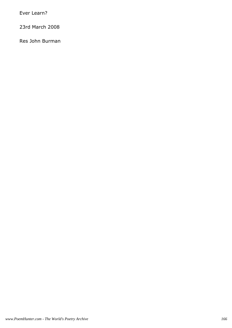Ever Learn?

23rd March 2008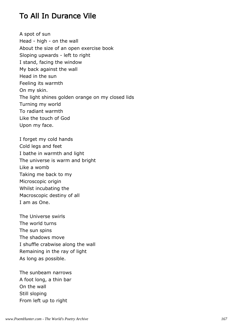## To All In Durance Vile

A spot of sun Head - high - on the wall About the size of an open exercise book Sloping upwards - left to right I stand, facing the window My back against the wall Head in the sun Feeling its warmth On my skin. The light shines golden orange on my closed lids Turning my world To radiant warmth Like the touch of God Upon my face.

I forget my cold hands Cold legs and feet I bathe in warmth and light The universe is warm and bright Like a womb Taking me back to my Microscopic origin Whilst incubating the Macroscopic destiny of all I am as One.

The Universe swirls The world turns The sun spins The shadows move I shuffle crabwise along the wall Remaining in the ray of light As long as possible.

The sunbeam narrows A foot long, a thin bar On the wall Still sloping From left up to right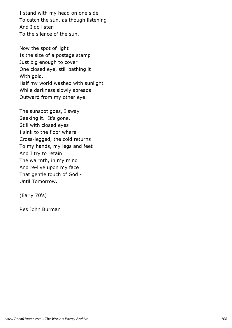I stand with my head on one side To catch the sun, as though listening And I do listen To the silence of the sun.

Now the spot of light Is the size of a postage stamp Just big enough to cover One closed eye, still bathing it With gold. Half my world washed with sunlight While darkness slowly spreads Outward from my other eye.

The sunspot goes, I sway Seeking it. It's gone. Still with closed eyes I sink to the floor where Cross-legged, the cold returns To my hands, my legs and feet And I try to retain The warmth, in my mind And re-live upon my face That gentle touch of God - Until Tomorrow.

(Early 70's)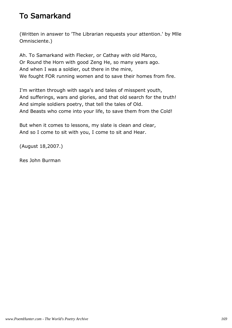## To Samarkand

(Written in answer to 'The Librarian requests your attention.' by Mlle Omnisciente.)

Ah. To Samarkand with Flecker, or Cathay with old Marco, Or Round the Horn with good Zeng He, so many years ago. And when I was a soldier, out there in the mire, We fought FOR running women and to save their homes from fire.

I'm written through with saga's and tales of misspent youth, And sufferings, wars and glories, and that old search for the truth! And simple soldiers poetry, that tell the tales of Old. And Beasts who come into your life, to save them from the Cold!

But when it comes to lessons, my slate is clean and clear, And so I come to sit with you, I come to sit and Hear.

(August 18,2007.)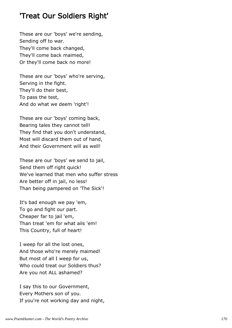## 'Treat Our Soldiers Right'

These are our 'boys' we're sending, Sending off to war. They'll come back changed, They'll come back maimed, Or they'll come back no more!

These are our 'boys' who're serving, Serving in the fight. They'll do their best, To pass the test, And do what we deem 'right'!

These are our 'boys' coming back, Bearing tales they cannot tell! They find that you don't understand, Most will discard them out of hand, And their Government will as well!

These are our 'boys' we send to jail, Send them off right quick! We've learned that men who suffer stress Are better off in jail, no less! Than being pampered on 'The Sick'!

It's bad enough we pay 'em, To go and fight our part. Cheaper far to jail 'em, Than treat 'em for what ails 'em! This Country, full of heart!

I weep for all the lost ones, And those who're merely maimed! But most of all I weep for us, Who could treat our Soldiers thus? Are you not ALL ashamed?

I say this to our Government, Every Mothers son of you. If you're not working day and night,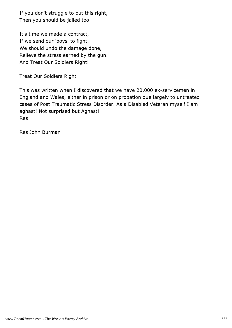If you don't struggle to put this right, Then you should be jailed too!

It's time we made a contract, If we send our 'boys' to fight. We should undo the damage done, Relieve the stress earned by the gun. And Treat Our Soldiers Right!

Treat Our Soldiers Right

This was written when I discovered that we have 20,000 ex-servicemen in England and Wales, either in prison or on probation due largely to untreated cases of Post Traumatic Stress Disorder. As a Disabled Veteran myself I am aghast! Not surprised but Aghast! Res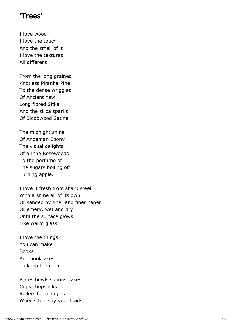#### 'Trees'

I love wood I love the touch And the smell of it I love the textures All different

From the long grained Knotless Piranha Pine To the dense wriggles Of Ancient Yew Long fibred Sitka And the silica sparks Of Bloodwood Satine

The midnight shine Of Andaman Ebony The visual delights Of all the Rosewoods To the perfume of The sugars boiling off Turning apple.

I love it fresh from sharp steel With a shine all of its own Or sanded by finer and finer paper Or emery, wet and dry Until the surface glows Like warm glass.

I love the things You can make Books And bookcases To keep them on.

Plates bowls spoons vases Cups chopsticks Rollers for mangles Wheels to carry your loads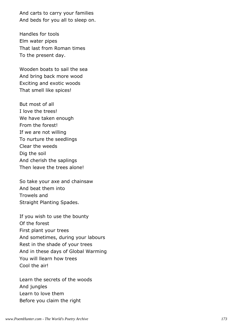And carts to carry your families And beds for you all to sleep on.

Handles for tools Elm water pipes That last from Roman times To the present day.

Wooden boats to sail the sea And bring back more wood Exciting and exotic woods That smell like spices!

But most of all I love the trees! We have taken enough From the forest! If we are not willing To nurture the seedlings Clear the weeds Dig the soil And cherish the saplings Then leave the trees alone!

So take your axe and chainsaw And beat them into Trowels and Straight Planting Spades.

If you wish to use the bounty Of the forest First plant your trees And sometimes, during your labours Rest in the shade of your trees And in these days of Global Warming You will llearn how trees Cool the air!

Learn the secrets of the woods And jungles Learn to love them Before you claim the right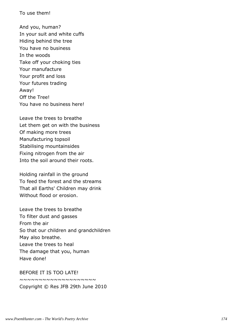#### To use them!

And you, human? In your suit and white cuffs Hiding behind the tree You have no business In the woods Take off your choking ties Your manufacture Your profit and loss Your futures trading Away! Off the Tree! You have no business here!

Leave the trees to breathe Let them get on with the business Of making more trees Manufacturing topsoil Stabilising mountainsides Fixing nitrogen from the air Into the soil around their roots.

Holding rainfall in the ground To feed the forest and the streams That all Earths' Children may drink Without flood or erosion.

Leave the trees to breathe To filter dust and gasses From the air So that our children and grandchildren May also breathe. Leave the trees to heal The damage that you, human Have done!

BEFORE IT IS TOO LATE! ~~~~~~~~~~~~~~~~~~~~ Copyright © Res JFB 29th June 2010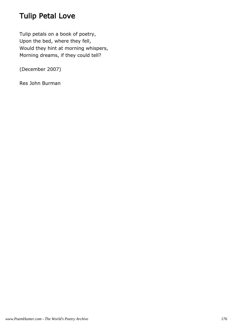## Tulip Petal Love

Tulip petals on a book of poetry, Upon the bed, where they fell, Would they hint at morning whispers, Morning dreams, if they could tell?

(December 2007)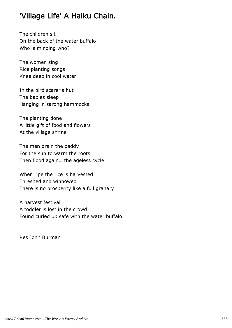## 'Village Life' A Haiku Chain.

The children sit On the back of the water buffalo Who is minding who?

The women sing Rice planting songs Knee deep in cool water

In the bird scarer's hut The babies sleep Hanging in sarong hammocks

The planting done A little gift of food and flowers At the village shrine

The men drain the paddy For the sun to warm the roots Then flood again… the ageless cycle

When ripe the rice is harvested Threshed and winnowed There is no prosperity like a full granary

A harvest festival A toddler is lost in the crowd Found curled up safe with the water buffalo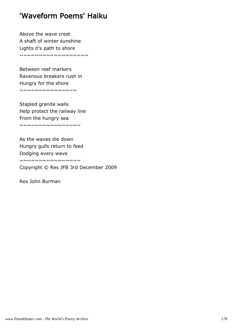## 'Waveform Poems' Haiku

Above the wave crest A shaft of winter sunshine Lights it's path to shore ~~~~~~~~~~~~~~~~~~

Between reef markers Ravenous breakers rush in Hungry for the shore  $~\sim~$ 

Stapled granite walls Help protect the railway line From the hungry sea  $~\sim~\sim~\sim~\sim~\sim~\sim~\sim~\sim$ 

As the waves die down Hungry gulls return to feed Dodging every wave  $~\sim~\sim~\sim~\sim~\sim~\sim~\sim~\sim~\sim~\sim$ Copyright © Res JFB 3rd December 2009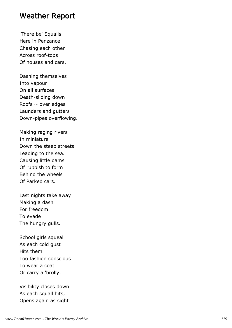#### Weather Report

'There be' Squalls Here in Penzance Chasing each other Across roof-tops Of houses and cars.

Dashing themselves Into vapour On all surfaces. Death-sliding down Roofs  $\sim$  over edges Launders and gutters Down-pipes overflowing.

Making raging rivers In miniature Down the steep streets Leading to the sea. Causing little dams Of rubbish to form Behind the wheels Of Parked cars.

Last nights take away Making a dash For freedom To evade The hungry gulls.

School girls squeal As each cold gust Hits them Too fashion conscious To wear a coat Or carry a 'brolly.

Visibility closes down As each squall hits, Opens again as sight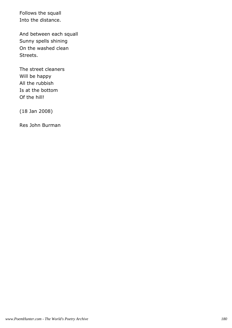Follows the squall Into the distance.

And between each squall Sunny spells shining On the washed clean Streets.

The street cleaners Will be happy All the rubbish Is at the bottom Of the hill!

(18 Jan 2008)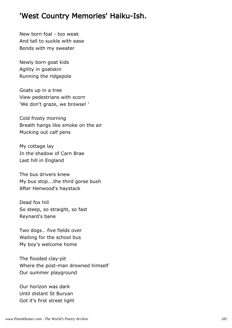### 'West Country Memories' Haiku-Ish.

New born foal - too weak And tall to suckle with ease Bonds with my sweater

Newly born goat kids Agility in goatskin Running the ridgepole

Goats up in a tree View pedestrians with scorn 'We don't graze, we browse! '

Cold frosty morning Breath hangs like smoke on the air Mucking out calf pens

My cottage lay In the shadow of Carn Brae Last hill in England

The bus drivers knew My bus stop….the third gorse bush After Henwood's haystack

Dead fox hill So steep, so straight, so fast Reynard's bane

Two dogs… five fields over Waiting for the school bus My boy's welcome home

The flooded clay-pit Where the post-man drowned himself Our summer playground

Our horizon was dark Until distant St Buryan Got it's first street light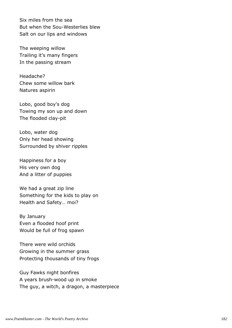Six miles from the sea But when the Sou-Westerlies blew Salt on our lips and windows

The weeping willow Trailing it's many fingers In the passing stream

Headache? Chew some willow bark Natures aspirin

Lobo, good boy's dog Towing my son up and down The flooded clay-pit

Lobo, water dog Only her head showing Surrounded by shiver ripples

Happiness for a boy His very own dog And a litter of puppies

We had a great zip line Something for the kids to play on Health and Safety… moi?

By January Even a flooded hoof print Would be full of frog spawn

There were wild orchids Growing in the summer grass Protecting thousands of tiny frogs

Guy Fawks night bonfires A years brush-wood up in smoke The guy, a witch, a dragon, a masterpiece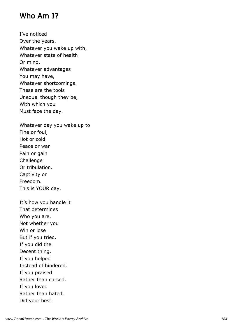### Who Am I?

I've noticed Over the years. Whatever you wake up with, Whatever state of health Or mind. Whatever advantages You may have, Whatever shortcomings. These are the tools Unequal though they be, With which you Must face the day.

Whatever day you wake up to Fine or foul, Hot or cold Peace or war Pain or gain Challenge Or tribulation. Captivity or Freedom. This is YOUR day.

It's how you handle it That determines Who you are. Not whether you Win or lose But if you tried. If you did the Decent thing. If you helped Instead of hindered. If you praised Rather than cursed. If you loved Rather than hated. Did your best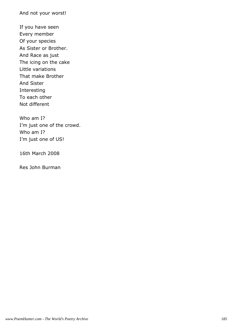And not your worst!

If you have seen Every member Of your species As Sister or Brother. And Race as just The icing on the cake Little variations That make Brother And Sister Interesting To each other Not different

Who am I? I'm just one of the crowd. Who am I? I'm just one of US!

16th March 2008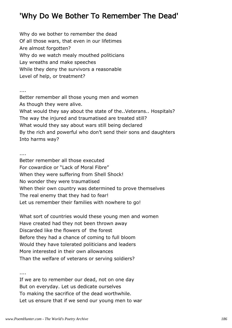# 'Why Do We Bother To Remember The Dead'

Why do we bother to remember the dead Of all those wars, that even in our lifetimes Are almost forgotten? Why do we watch mealy mouthed politicians Lay wreaths and make speeches While they deny the survivors a reasonable Level of help, or treatment?

....

Better remember all those young men and women As though they were alive. What would they say about the state of the..Veterans.. Hospitals? The way the injured and traumatised are treated still? What would they say about wars still being declared By the rich and powerful who don't send their sons and daughters Into harms way?

....

Better remember all those executed For cowardice or "Lack of Moral Fibre" When they were suffering from Shell Shock! No wonder they were traumatised When their own country was determined to prove themselves The real enemy that they had to fear! Let us remember their families with nowhere to go!

What sort of countries would these young men and women Have created had they not been thrown away Discarded like the flowers of the forest Before they had a chance of coming to full bloom Would they have tolerated politicians and leaders More interested in their own allowances Than the welfare of veterans or serving soldiers?

....

If we are to remember our dead, not on one day But on everyday. Let us dedicate ourselves To making the sacrifice of the dead worthwhile. Let us ensure that if we send our young men to war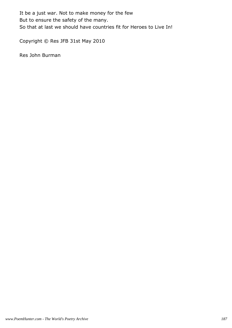It be a just war. Not to make money for the few But to ensure the safety of the many. So that at last we should have countries fit for Heroes to Live In!

Copyright © Res JFB 31st May 2010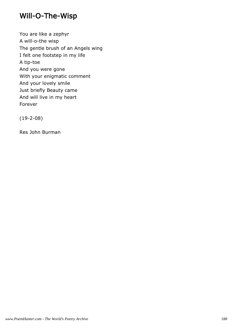### Will-O-The-Wisp

You are like a zephyr A will-o-the wisp The gentle brush of an Angels wing I felt one footstep in my life A tip-toe And you were gone With your enigmatic comment And your lovely smile Just briefly Beauty came And will live in my heart Forever

(19-2-08)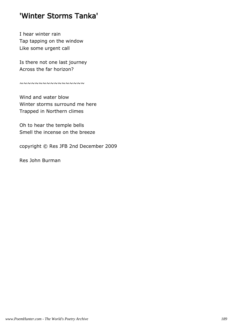### 'Winter Storms Tanka'

I hear winter rain Tap tapping on the window Like some urgent call

Is there not one last journey Across the far horizon?

~~~~~~~~~~~~~~~~~

Wind and water blow Winter storms surround me here Trapped in Northern climes

Oh to hear the temple bells Smell the incense on the breeze

copyright © Res JFB 2nd December 2009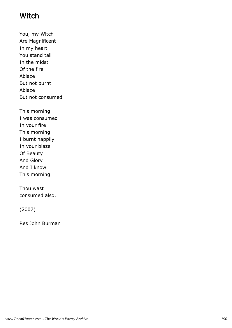## **Witch**

You, my Witch Are Magnificent In my heart You stand tall In the midst Of the fire Ablaze But not burnt Ablaze But not consumed

This morning I was consumed In your fire This morning I burnt happily In your blaze Of Beauty And Glory And I know This morning

Thou wast consumed also.

(2007)